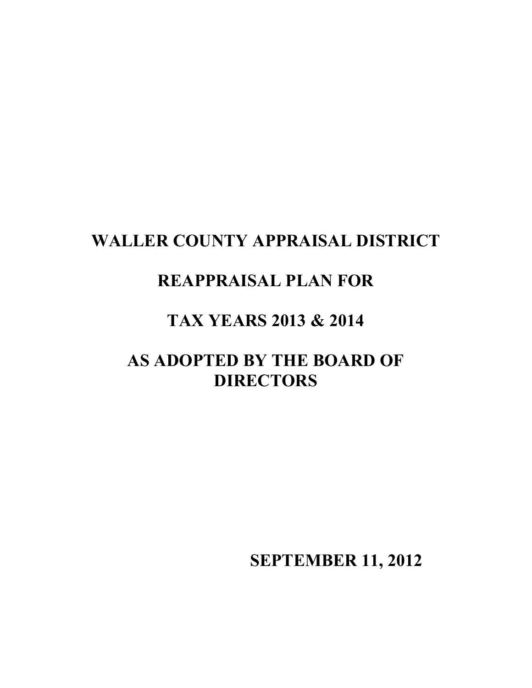# **WALLER COUNTY APPRAISAL DISTRICT**

# **REAPPRAISAL PLAN FOR**

# **TAX YEARS 2013 & 2014**

# **AS ADOPTED BY THE BOARD OF DIRECTORS**

 **SEPTEMBER 11, 2012**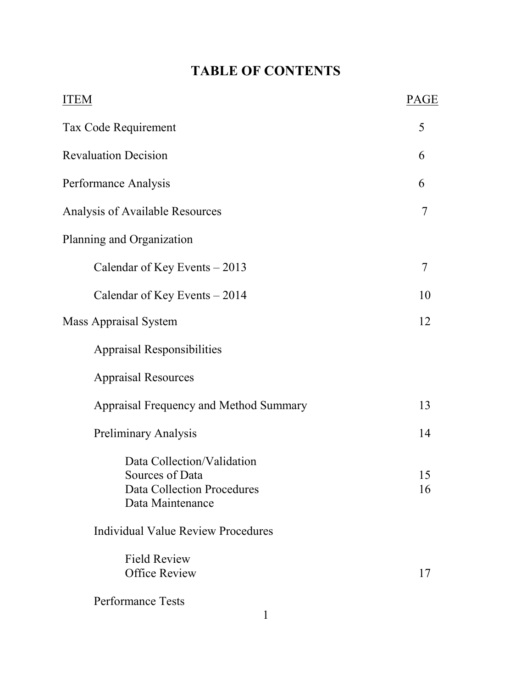# **TABLE OF CONTENTS**

| <b>ITEM</b>                                                                                     | PAGE     |
|-------------------------------------------------------------------------------------------------|----------|
| Tax Code Requirement                                                                            | 5        |
| <b>Revaluation Decision</b>                                                                     | 6        |
| Performance Analysis                                                                            | 6        |
| Analysis of Available Resources                                                                 | 7        |
| Planning and Organization                                                                       |          |
| Calendar of Key Events $-2013$                                                                  | 7        |
| Calendar of Key Events $-2014$                                                                  | 10       |
| <b>Mass Appraisal System</b>                                                                    | 12       |
| <b>Appraisal Responsibilities</b>                                                               |          |
| <b>Appraisal Resources</b>                                                                      |          |
| Appraisal Frequency and Method Summary                                                          | 13       |
| <b>Preliminary Analysis</b>                                                                     | 14       |
| Data Collection/Validation<br>Sources of Data<br>Data Collection Procedures<br>Data Maintenance | 15<br>16 |
| Individual Value Review Procedures                                                              |          |
| <b>Field Review</b><br><b>Office Review</b>                                                     | 17       |
| <b>Performance Tests</b>                                                                        |          |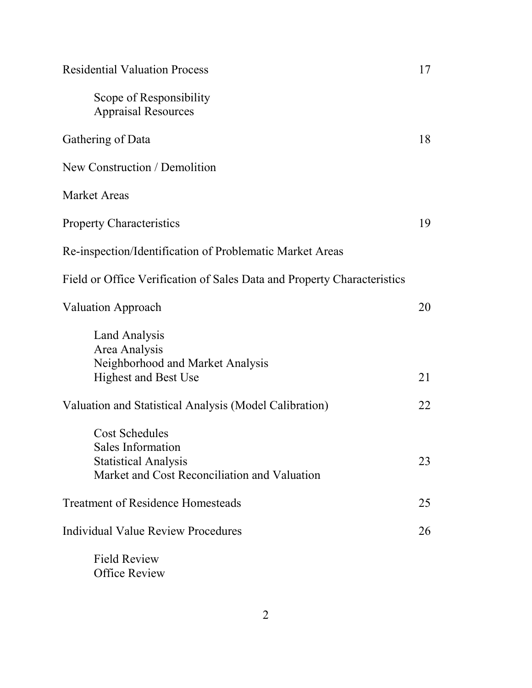| <b>Residential Valuation Process</b>                                        | 17 |
|-----------------------------------------------------------------------------|----|
| Scope of Responsibility<br><b>Appraisal Resources</b>                       |    |
| Gathering of Data                                                           | 18 |
| New Construction / Demolition                                               |    |
| <b>Market Areas</b>                                                         |    |
| <b>Property Characteristics</b>                                             | 19 |
| Re-inspection/Identification of Problematic Market Areas                    |    |
| Field or Office Verification of Sales Data and Property Characteristics     |    |
| <b>Valuation Approach</b>                                                   | 20 |
| Land Analysis<br>Area Analysis<br>Neighborhood and Market Analysis          |    |
| <b>Highest and Best Use</b>                                                 | 21 |
| Valuation and Statistical Analysis (Model Calibration)                      | 22 |
| <b>Cost Schedules</b><br>Sales Information                                  |    |
| <b>Statistical Analysis</b><br>Market and Cost Reconciliation and Valuation | 23 |
| <b>Treatment of Residence Homesteads</b>                                    | 25 |
| Individual Value Review Procedures                                          | 26 |
| <b>Field Review</b>                                                         |    |

Office Review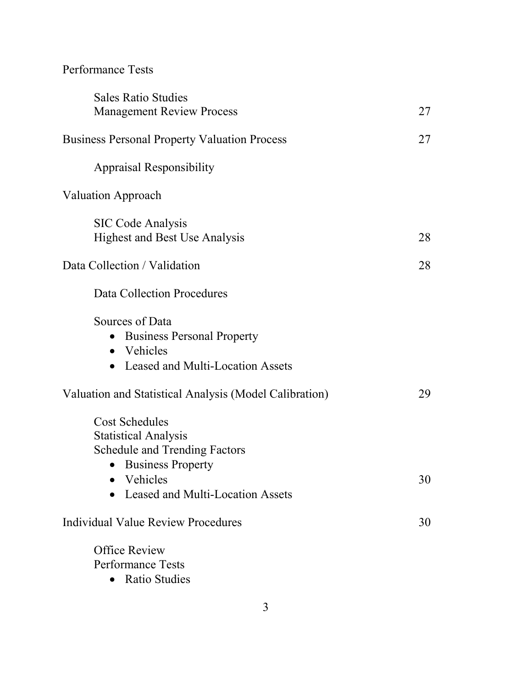## Performance Tests

| <b>Sales Ratio Studies</b>                             |    |
|--------------------------------------------------------|----|
| <b>Management Review Process</b>                       | 27 |
|                                                        |    |
| <b>Business Personal Property Valuation Process</b>    | 27 |
| <b>Appraisal Responsibility</b>                        |    |
|                                                        |    |
| <b>Valuation Approach</b>                              |    |
| <b>SIC Code Analysis</b>                               |    |
| <b>Highest and Best Use Analysis</b>                   | 28 |
|                                                        |    |
| Data Collection / Validation                           | 28 |
| Data Collection Procedures                             |    |
| Sources of Data                                        |    |
| <b>Business Personal Property</b><br>$\bullet$         |    |
| • Vehicles                                             |    |
| • Leased and Multi-Location Assets                     |    |
| Valuation and Statistical Analysis (Model Calibration) | 29 |
| <b>Cost Schedules</b>                                  |    |
| <b>Statistical Analysis</b>                            |    |
| <b>Schedule and Trending Factors</b>                   |    |
| <b>Business Property</b><br>$\bullet$                  |    |
| • Vehicles                                             | 30 |
| Leased and Multi-Location Assets                       |    |
| Individual Value Review Procedures                     | 30 |
| <b>Office Review</b>                                   |    |
| <b>Performance Tests</b>                               |    |
|                                                        |    |

• Ratio Studies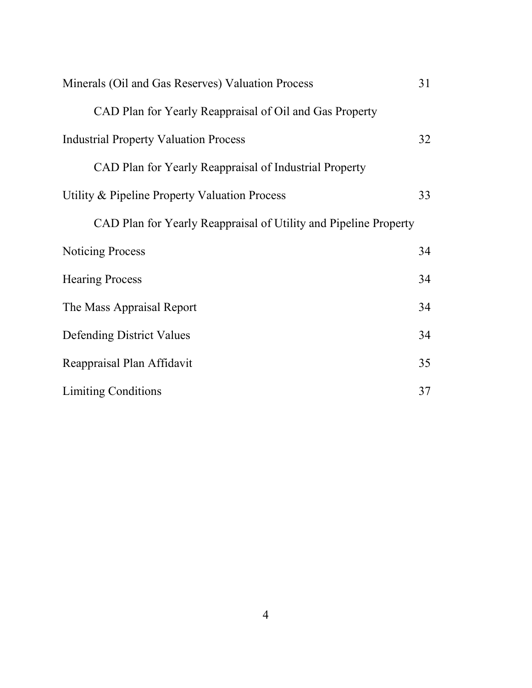| Minerals (Oil and Gas Reserves) Valuation Process                | 31 |
|------------------------------------------------------------------|----|
| CAD Plan for Yearly Reappraisal of Oil and Gas Property          |    |
| <b>Industrial Property Valuation Process</b>                     | 32 |
| CAD Plan for Yearly Reappraisal of Industrial Property           |    |
| Utility & Pipeline Property Valuation Process                    | 33 |
| CAD Plan for Yearly Reappraisal of Utility and Pipeline Property |    |
| <b>Noticing Process</b>                                          | 34 |
| <b>Hearing Process</b>                                           | 34 |
| The Mass Appraisal Report                                        | 34 |
| <b>Defending District Values</b>                                 | 34 |
| Reappraisal Plan Affidavit                                       | 35 |
| <b>Limiting Conditions</b>                                       | 37 |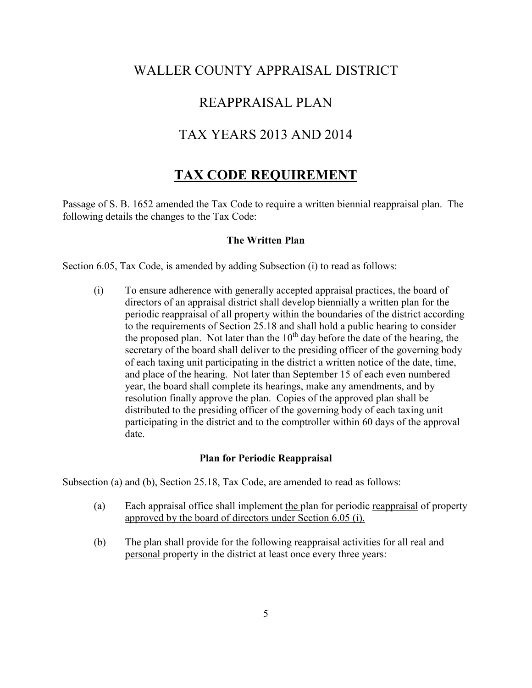### WALLER COUNTY APPRAISAL DISTRICT

### REAPPRAISAL PLAN

### TAX YEARS 2013 AND 2014

## **TAX CODE REQUIREMENT**

Passage of S. B. 1652 amended the Tax Code to require a written biennial reappraisal plan. The following details the changes to the Tax Code:

#### **The Written Plan**

Section 6.05, Tax Code, is amended by adding Subsection (i) to read as follows:

(i) To ensure adherence with generally accepted appraisal practices, the board of directors of an appraisal district shall develop biennially a written plan for the periodic reappraisal of all property within the boundaries of the district according to the requirements of Section 25.18 and shall hold a public hearing to consider the proposed plan. Not later than the  $10<sup>th</sup>$  day before the date of the hearing, the secretary of the board shall deliver to the presiding officer of the governing body of each taxing unit participating in the district a written notice of the date, time, and place of the hearing. Not later than September 15 of each even numbered year, the board shall complete its hearings, make any amendments, and by resolution finally approve the plan. Copies of the approved plan shall be distributed to the presiding officer of the governing body of each taxing unit participating in the district and to the comptroller within 60 days of the approval date.

#### **Plan for Periodic Reappraisal**

Subsection (a) and (b), Section 25.18, Tax Code, are amended to read as follows:

- (a) Each appraisal office shall implement the plan for periodic reappraisal of property approved by the board of directors under Section 6.05 (i).
- (b) The plan shall provide for the following reappraisal activities for all real and personal property in the district at least once every three years: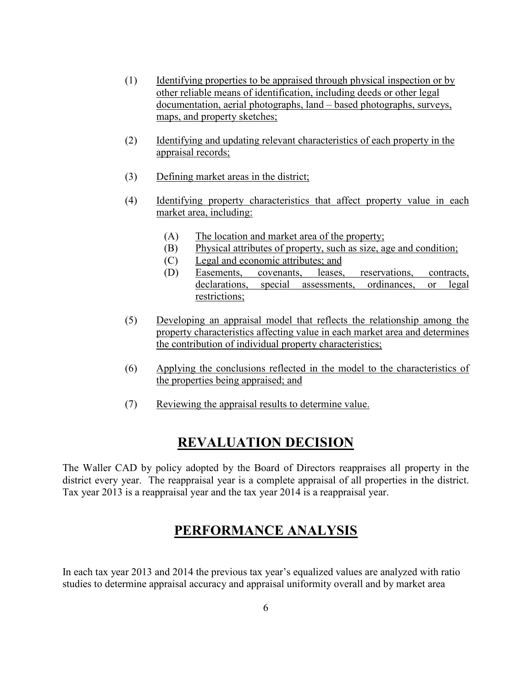- (1) Identifying properties to be appraised through physical inspection or by other reliable means of identification, including deeds or other legal documentation, aerial photographs, land – based photographs, surveys, maps, and property sketches;
- (2) Identifying and updating relevant characteristics of each property in the appraisal records;
- (3) Defining market areas in the district;
- (4) Identifying property characteristics that affect property value in each market area, including:
	- (A) The location and market area of the property;
	- (B) Physical attributes of property, such as size, age and condition;
	- (C) Legal and economic attributes; and
	- (D) Easements, covenants, leases, reservations, contracts, declarations, special assessments, ordinances, or legal restrictions;
- (5) Developing an appraisal model that reflects the relationship among the property characteristics affecting value in each market area and determines the contribution of individual property characteristics;
- (6) Applying the conclusions reflected in the model to the characteristics of the properties being appraised; and
- (7) Reviewing the appraisal results to determine value.

## **REVALUATION DECISION**

The Waller CAD by policy adopted by the Board of Directors reappraises all property in the district every year. The reappraisal year is a complete appraisal of all properties in the district. Tax year 2013 is a reappraisal year and the tax year 2014 is a reappraisal year.

### **PERFORMANCE ANALYSIS**

In each tax year 2013 and 2014 the previous tax year's equalized values are analyzed with ratio studies to determine appraisal accuracy and appraisal uniformity overall and by market area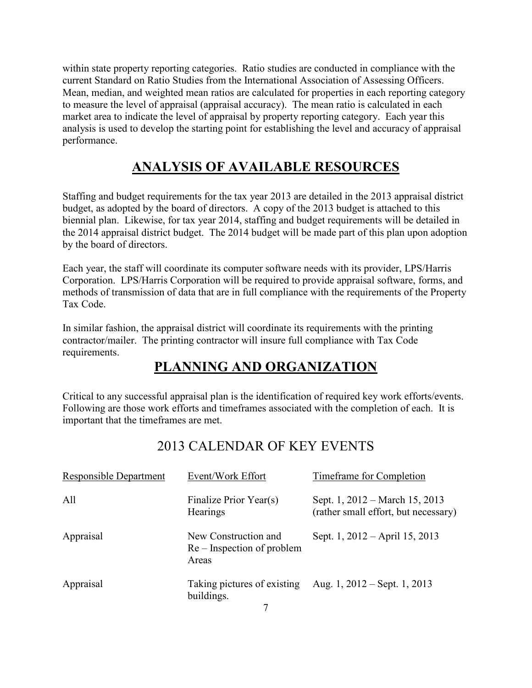within state property reporting categories. Ratio studies are conducted in compliance with the current Standard on Ratio Studies from the International Association of Assessing Officers. Mean, median, and weighted mean ratios are calculated for properties in each reporting category to measure the level of appraisal (appraisal accuracy). The mean ratio is calculated in each market area to indicate the level of appraisal by property reporting category. Each year this analysis is used to develop the starting point for establishing the level and accuracy of appraisal performance.

## **ANALYSIS OF AVAILABLE RESOURCES**

Staffing and budget requirements for the tax year 2013 are detailed in the 2013 appraisal district budget, as adopted by the board of directors. A copy of the 2013 budget is attached to this biennial plan. Likewise, for tax year 2014, staffing and budget requirements will be detailed in the 2014 appraisal district budget. The 2014 budget will be made part of this plan upon adoption by the board of directors.

Each year, the staff will coordinate its computer software needs with its provider, LPS/Harris Corporation. LPS/Harris Corporation will be required to provide appraisal software, forms, and methods of transmission of data that are in full compliance with the requirements of the Property Tax Code.

In similar fashion, the appraisal district will coordinate its requirements with the printing contractor/mailer. The printing contractor will insure full compliance with Tax Code requirements.

## **PLANNING AND ORGANIZATION**

Critical to any successful appraisal plan is the identification of required key work efforts/events. Following are those work efforts and timeframes associated with the completion of each. It is important that the timeframes are met.

## 2013 CALENDAR OF KEY EVENTS

| Responsible Department | Event/Work Effort                                           | <b>Timeframe for Completion</b>                                        |
|------------------------|-------------------------------------------------------------|------------------------------------------------------------------------|
| All                    | Finalize Prior Year(s)<br>Hearings                          | Sept. 1, 2012 – March 15, 2013<br>(rather small effort, but necessary) |
| Appraisal              | New Construction and<br>Re – Inspection of problem<br>Areas | Sept. 1, 2012 – April 15, 2013                                         |
| Appraisal              | Taking pictures of existing<br>buildings.                   | Aug. 1, $2012 -$ Sept. 1, $2013$                                       |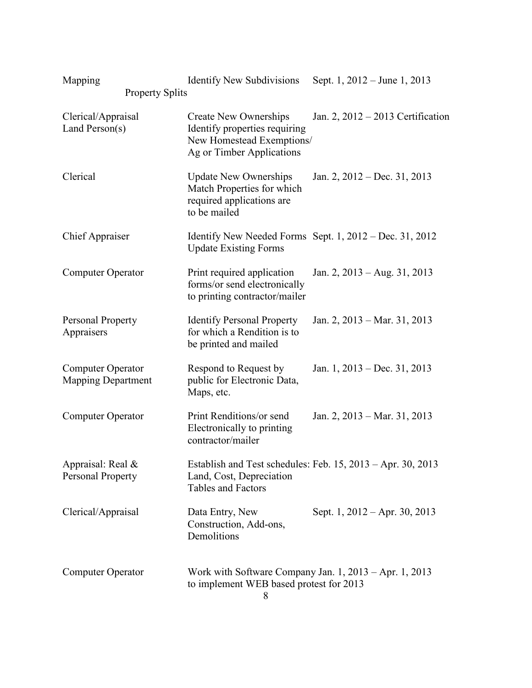| Mapping<br><b>Property Splits</b>              | <b>Identify New Subdivisions</b>                                                                                        | Sept. 1, 2012 – June 1, 2013                                |
|------------------------------------------------|-------------------------------------------------------------------------------------------------------------------------|-------------------------------------------------------------|
| Clerical/Appraisal<br>Land Person(s)           | <b>Create New Ownerships</b><br>Identify properties requiring<br>New Homestead Exemptions/<br>Ag or Timber Applications | Jan. 2, 2012 – 2013 Certification                           |
| Clerical                                       | <b>Update New Ownerships</b><br>Match Properties for which<br>required applications are<br>to be mailed                 | Jan. 2, 2012 – Dec. 31, 2013                                |
| <b>Chief Appraiser</b>                         | <b>Update Existing Forms</b>                                                                                            | Identify New Needed Forms Sept. 1, 2012 – Dec. 31, 2012     |
| <b>Computer Operator</b>                       | Print required application<br>forms/or send electronically<br>to printing contractor/mailer                             | Jan. 2, 2013 – Aug. 31, 2013                                |
| Personal Property<br>Appraisers                | <b>Identify Personal Property</b><br>for which a Rendition is to<br>be printed and mailed                               | Jan. 2, 2013 – Mar. 31, 2013                                |
| Computer Operator<br><b>Mapping Department</b> | Respond to Request by<br>public for Electronic Data,<br>Maps, etc.                                                      | Jan. 1, 2013 – Dec. 31, 2013                                |
| <b>Computer Operator</b>                       | Print Renditions/or send<br>Electronically to printing<br>contractor/mailer                                             | Jan. 2, 2013 – Mar. 31, 2013                                |
| Appraisal: Real &<br>Personal Property         | Land, Cost, Depreciation<br>Tables and Factors                                                                          | Establish and Test schedules: Feb. 15, 2013 – Apr. 30, 2013 |
| Clerical/Appraisal                             | Data Entry, New<br>Construction, Add-ons,<br>Demolitions                                                                | Sept. 1, 2012 – Apr. 30, 2013                               |
| <b>Computer Operator</b>                       | Work with Software Company Jan. 1, 2013 – Apr. 1, 2013<br>to implement WEB based protest for 2013                       |                                                             |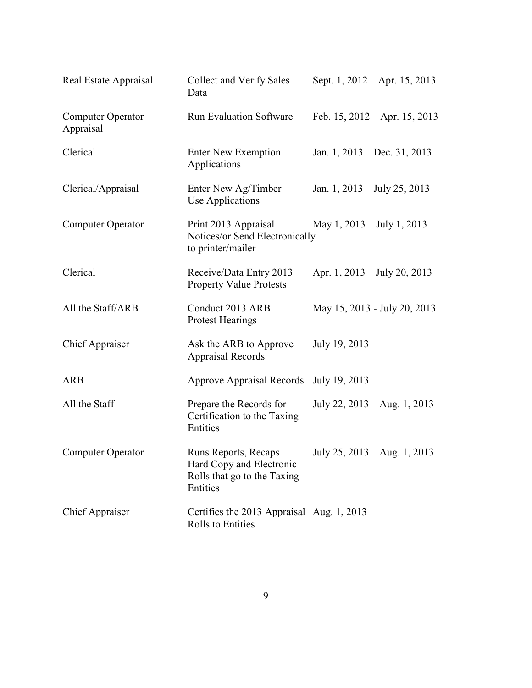| Real Estate Appraisal                 | <b>Collect and Verify Sales</b><br>Data                                                     | Sept. 1, 2012 – Apr. 15, 2013   |
|---------------------------------------|---------------------------------------------------------------------------------------------|---------------------------------|
| <b>Computer Operator</b><br>Appraisal | <b>Run Evaluation Software</b>                                                              | Feb. $15, 2012 - Apr. 15, 2013$ |
| Clerical                              | <b>Enter New Exemption</b><br>Applications                                                  | Jan. 1, 2013 – Dec. 31, 2013    |
| Clerical/Appraisal                    | Enter New Ag/Timber<br>Use Applications                                                     | Jan. 1, 2013 – July 25, 2013    |
| Computer Operator                     | Print 2013 Appraisal<br>Notices/or Send Electronically<br>to printer/mailer                 | May 1, $2013 - July 1, 2013$    |
| Clerical                              | Receive/Data Entry 2013<br><b>Property Value Protests</b>                                   | Apr. 1, $2013 - July 20, 2013$  |
| All the Staff/ARB                     | Conduct 2013 ARB<br><b>Protest Hearings</b>                                                 | May 15, 2013 - July 20, 2013    |
| <b>Chief Appraiser</b>                | Ask the ARB to Approve<br><b>Appraisal Records</b>                                          | July 19, 2013                   |
| <b>ARB</b>                            | <b>Approve Appraisal Records</b>                                                            | July 19, 2013                   |
| All the Staff                         | Prepare the Records for<br>Certification to the Taxing<br>Entities                          | July 22, 2013 – Aug. 1, 2013    |
| Computer Operator                     | Runs Reports, Recaps<br>Hard Copy and Electronic<br>Rolls that go to the Taxing<br>Entities | July 25, 2013 – Aug. 1, 2013    |
| <b>Chief Appraiser</b>                | Certifies the 2013 Appraisal Aug. 1, 2013<br>Rolls to Entities                              |                                 |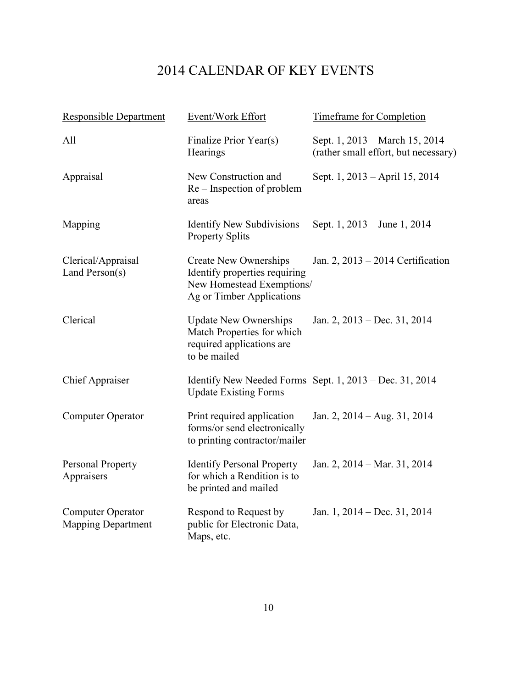## 2014 CALENDAR OF KEY EVENTS

| <b>Responsible Department</b>                  | Event/Work Effort                                                                                                       | <b>Timeframe for Completion</b>                                        |
|------------------------------------------------|-------------------------------------------------------------------------------------------------------------------------|------------------------------------------------------------------------|
| All                                            | Finalize Prior Year(s)<br>Hearings                                                                                      | Sept. 1, 2013 – March 15, 2014<br>(rather small effort, but necessary) |
| Appraisal                                      | New Construction and<br>Re – Inspection of problem<br>areas                                                             | Sept. 1, 2013 – April 15, 2014                                         |
| Mapping                                        | <b>Identify New Subdivisions</b><br><b>Property Splits</b>                                                              | Sept. 1, 2013 – June 1, 2014                                           |
| Clerical/Appraisal<br>Land Person(s)           | <b>Create New Ownerships</b><br>Identify properties requiring<br>New Homestead Exemptions/<br>Ag or Timber Applications | Jan. 2, 2013 – 2014 Certification                                      |
| Clerical                                       | <b>Update New Ownerships</b><br>Match Properties for which<br>required applications are<br>to be mailed                 | Jan. 2, 2013 – Dec. 31, 2014                                           |
| <b>Chief Appraiser</b>                         | <b>Update Existing Forms</b>                                                                                            | Identify New Needed Forms Sept. $1, 2013 - Dec. 31, 2014$              |
| <b>Computer Operator</b>                       | Print required application<br>forms/or send electronically<br>to printing contractor/mailer                             | Jan. 2, $2014 - Aug. 31, 2014$                                         |
| <b>Personal Property</b><br>Appraisers         | <b>Identify Personal Property</b><br>for which a Rendition is to<br>be printed and mailed                               | Jan. 2, 2014 – Mar. 31, 2014                                           |
| Computer Operator<br><b>Mapping Department</b> | Respond to Request by<br>public for Electronic Data,<br>Maps, etc.                                                      | Jan. 1, 2014 – Dec. 31, 2014                                           |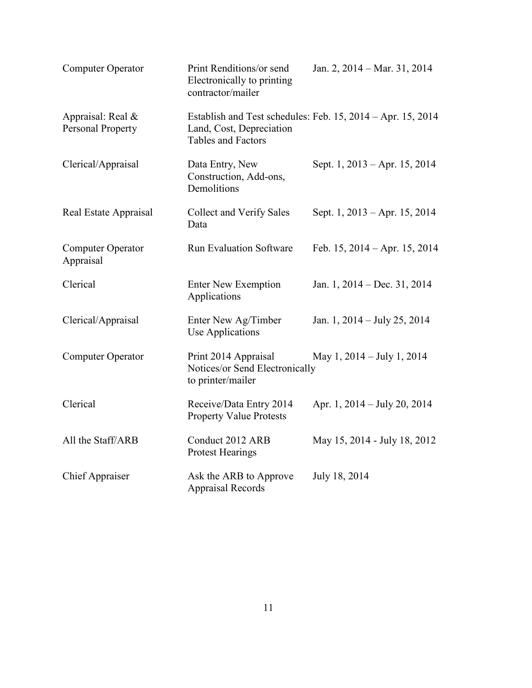| <b>Computer Operator</b>                      | Print Renditions/or send<br>Electronically to printing<br>contractor/mailer | Jan. 2, 2014 – Mar. 31, 2014                                |
|-----------------------------------------------|-----------------------------------------------------------------------------|-------------------------------------------------------------|
| Appraisal: Real &<br><b>Personal Property</b> | Land, Cost, Depreciation<br>Tables and Factors                              | Establish and Test schedules: Feb. 15, 2014 – Apr. 15, 2014 |
| Clerical/Appraisal                            | Data Entry, New<br>Construction, Add-ons,<br>Demolitions                    | Sept. 1, 2013 – Apr. 15, 2014                               |
| Real Estate Appraisal                         | <b>Collect and Verify Sales</b><br>Data                                     | Sept. 1, 2013 – Apr. 15, 2014                               |
| <b>Computer Operator</b><br>Appraisal         | <b>Run Evaluation Software</b>                                              | Feb. $15, 2014 - Apr. 15, 2014$                             |
| Clerical                                      | <b>Enter New Exemption</b><br>Applications                                  | Jan. 1, 2014 – Dec. 31, 2014                                |
| Clerical/Appraisal                            | Enter New Ag/Timber<br><b>Use Applications</b>                              | Jan. 1, $2014 - \text{July } 25$ , $2014$                   |
| <b>Computer Operator</b>                      | Print 2014 Appraisal<br>Notices/or Send Electronically<br>to printer/mailer | May 1, 2014 – July 1, 2014                                  |
| Clerical                                      | Receive/Data Entry 2014<br><b>Property Value Protests</b>                   | Apr. 1, 2014 – July 20, 2014                                |
| All the Staff/ARB                             | Conduct 2012 ARB<br><b>Protest Hearings</b>                                 | May 15, 2014 - July 18, 2012                                |
| <b>Chief Appraiser</b>                        | Ask the ARB to Approve<br><b>Appraisal Records</b>                          | July 18, 2014                                               |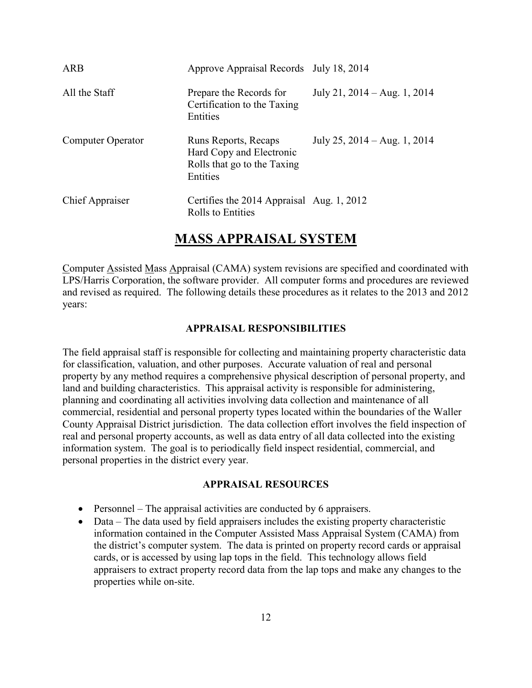| ARB                    | Approve Appraisal Records July 18, 2014                                                     |                                |
|------------------------|---------------------------------------------------------------------------------------------|--------------------------------|
| All the Staff          | Prepare the Records for<br>Certification to the Taxing<br>Entities                          | July 21, $2014 - Aug. 1, 2014$ |
| Computer Operator      | Runs Reports, Recaps<br>Hard Copy and Electronic<br>Rolls that go to the Taxing<br>Entities | July 25, $2014 - Aug. 1, 2014$ |
| <b>Chief Appraiser</b> | Certifies the 2014 Appraisal Aug. 1, 2012<br><b>Rolls to Entities</b>                       |                                |

### **MASS APPRAISAL SYSTEM**

Computer Assisted Mass Appraisal (CAMA) system revisions are specified and coordinated with LPS/Harris Corporation, the software provider. All computer forms and procedures are reviewed and revised as required. The following details these procedures as it relates to the 2013 and 2012 years:

#### **APPRAISAL RESPONSIBILITIES**

The field appraisal staff is responsible for collecting and maintaining property characteristic data for classification, valuation, and other purposes. Accurate valuation of real and personal property by any method requires a comprehensive physical description of personal property, and land and building characteristics. This appraisal activity is responsible for administering, planning and coordinating all activities involving data collection and maintenance of all commercial, residential and personal property types located within the boundaries of the Waller County Appraisal District jurisdiction. The data collection effort involves the field inspection of real and personal property accounts, as well as data entry of all data collected into the existing information system. The goal is to periodically field inspect residential, commercial, and personal properties in the district every year.

#### **APPRAISAL RESOURCES**

- Personnel The appraisal activities are conducted by 6 appraisers.
- Data The data used by field appraisers includes the existing property characteristic information contained in the Computer Assisted Mass Appraisal System (CAMA) from the district's computer system. The data is printed on property record cards or appraisal cards, or is accessed by using lap tops in the field. This technology allows field appraisers to extract property record data from the lap tops and make any changes to the properties while on-site.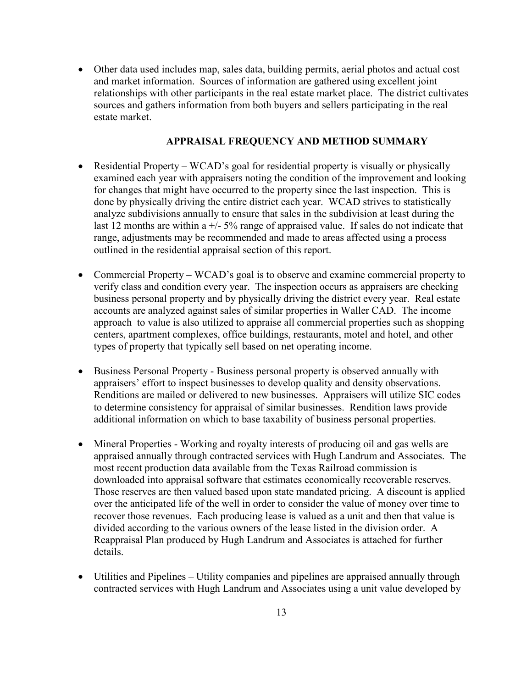• Other data used includes map, sales data, building permits, aerial photos and actual cost and market information. Sources of information are gathered using excellent joint relationships with other participants in the real estate market place. The district cultivates sources and gathers information from both buyers and sellers participating in the real estate market.

#### **APPRAISAL FREQUENCY AND METHOD SUMMARY**

- Residential Property WCAD's goal for residential property is visually or physically examined each year with appraisers noting the condition of the improvement and looking for changes that might have occurred to the property since the last inspection. This is done by physically driving the entire district each year. WCAD strives to statistically analyze subdivisions annually to ensure that sales in the subdivision at least during the last 12 months are within a  $\frac{+}{5\%}$  range of appraised value. If sales do not indicate that range, adjustments may be recommended and made to areas affected using a process outlined in the residential appraisal section of this report.
- Commercial Property WCAD's goal is to observe and examine commercial property to verify class and condition every year. The inspection occurs as appraisers are checking business personal property and by physically driving the district every year. Real estate accounts are analyzed against sales of similar properties in Waller CAD. The income approach to value is also utilized to appraise all commercial properties such as shopping centers, apartment complexes, office buildings, restaurants, motel and hotel, and other types of property that typically sell based on net operating income.
- Business Personal Property Business personal property is observed annually with appraisers' effort to inspect businesses to develop quality and density observations. Renditions are mailed or delivered to new businesses. Appraisers will utilize SIC codes to determine consistency for appraisal of similar businesses. Rendition laws provide additional information on which to base taxability of business personal properties.
- Mineral Properties Working and royalty interests of producing oil and gas wells are appraised annually through contracted services with Hugh Landrum and Associates. The most recent production data available from the Texas Railroad commission is downloaded into appraisal software that estimates economically recoverable reserves. Those reserves are then valued based upon state mandated pricing. A discount is applied over the anticipated life of the well in order to consider the value of money over time to recover those revenues. Each producing lease is valued as a unit and then that value is divided according to the various owners of the lease listed in the division order. A Reappraisal Plan produced by Hugh Landrum and Associates is attached for further details.
- Utilities and Pipelines Utility companies and pipelines are appraised annually through contracted services with Hugh Landrum and Associates using a unit value developed by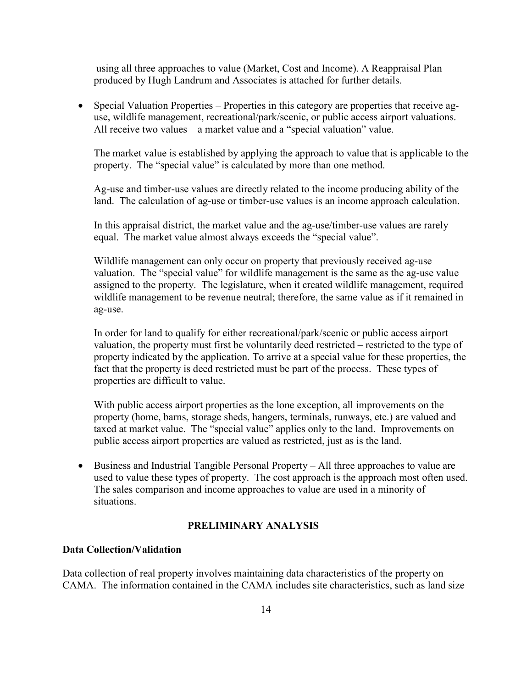using all three approaches to value (Market, Cost and Income). A Reappraisal Plan produced by Hugh Landrum and Associates is attached for further details.

• Special Valuation Properties – Properties in this category are properties that receive aguse, wildlife management, recreational/park/scenic, or public access airport valuations. All receive two values – a market value and a "special valuation" value.

The market value is established by applying the approach to value that is applicable to the property. The "special value" is calculated by more than one method.

Ag-use and timber-use values are directly related to the income producing ability of the land. The calculation of ag-use or timber-use values is an income approach calculation.

In this appraisal district, the market value and the ag-use/timber-use values are rarely equal. The market value almost always exceeds the "special value".

Wildlife management can only occur on property that previously received ag-use valuation. The "special value" for wildlife management is the same as the ag-use value assigned to the property. The legislature, when it created wildlife management, required wildlife management to be revenue neutral; therefore, the same value as if it remained in ag-use.

In order for land to qualify for either recreational/park/scenic or public access airport valuation, the property must first be voluntarily deed restricted – restricted to the type of property indicated by the application. To arrive at a special value for these properties, the fact that the property is deed restricted must be part of the process. These types of properties are difficult to value.

With public access airport properties as the lone exception, all improvements on the property (home, barns, storage sheds, hangers, terminals, runways, etc.) are valued and taxed at market value. The "special value" applies only to the land. Improvements on public access airport properties are valued as restricted, just as is the land.

• Business and Industrial Tangible Personal Property – All three approaches to value are used to value these types of property. The cost approach is the approach most often used. The sales comparison and income approaches to value are used in a minority of situations.

#### **PRELIMINARY ANALYSIS**

#### **Data Collection/Validation**

Data collection of real property involves maintaining data characteristics of the property on CAMA. The information contained in the CAMA includes site characteristics, such as land size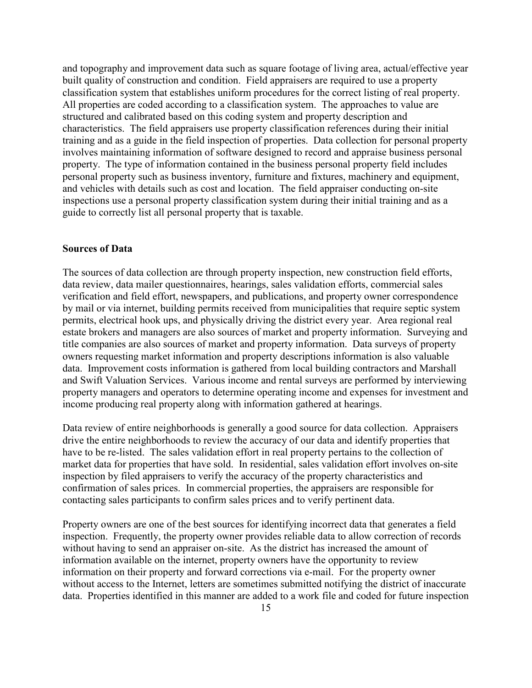and topography and improvement data such as square footage of living area, actual/effective year built quality of construction and condition. Field appraisers are required to use a property classification system that establishes uniform procedures for the correct listing of real property. All properties are coded according to a classification system. The approaches to value are structured and calibrated based on this coding system and property description and characteristics. The field appraisers use property classification references during their initial training and as a guide in the field inspection of properties. Data collection for personal property involves maintaining information of software designed to record and appraise business personal property. The type of information contained in the business personal property field includes personal property such as business inventory, furniture and fixtures, machinery and equipment, and vehicles with details such as cost and location. The field appraiser conducting on-site inspections use a personal property classification system during their initial training and as a guide to correctly list all personal property that is taxable.

#### **Sources of Data**

The sources of data collection are through property inspection, new construction field efforts, data review, data mailer questionnaires, hearings, sales validation efforts, commercial sales verification and field effort, newspapers, and publications, and property owner correspondence by mail or via internet, building permits received from municipalities that require septic system permits, electrical hook ups, and physically driving the district every year. Area regional real estate brokers and managers are also sources of market and property information. Surveying and title companies are also sources of market and property information. Data surveys of property owners requesting market information and property descriptions information is also valuable data. Improvement costs information is gathered from local building contractors and Marshall and Swift Valuation Services. Various income and rental surveys are performed by interviewing property managers and operators to determine operating income and expenses for investment and income producing real property along with information gathered at hearings.

Data review of entire neighborhoods is generally a good source for data collection. Appraisers drive the entire neighborhoods to review the accuracy of our data and identify properties that have to be re-listed. The sales validation effort in real property pertains to the collection of market data for properties that have sold. In residential, sales validation effort involves on-site inspection by filed appraisers to verify the accuracy of the property characteristics and confirmation of sales prices. In commercial properties, the appraisers are responsible for contacting sales participants to confirm sales prices and to verify pertinent data.

Property owners are one of the best sources for identifying incorrect data that generates a field inspection. Frequently, the property owner provides reliable data to allow correction of records without having to send an appraiser on-site. As the district has increased the amount of information available on the internet, property owners have the opportunity to review information on their property and forward corrections via e-mail. For the property owner without access to the Internet, letters are sometimes submitted notifying the district of inaccurate data. Properties identified in this manner are added to a work file and coded for future inspection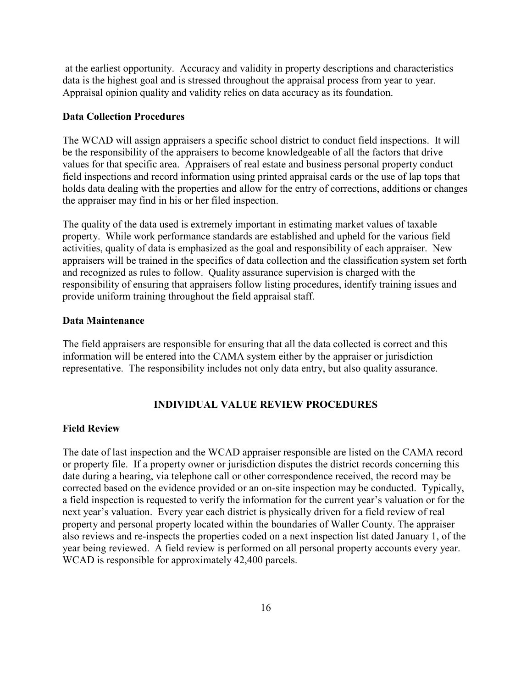at the earliest opportunity. Accuracy and validity in property descriptions and characteristics data is the highest goal and is stressed throughout the appraisal process from year to year. Appraisal opinion quality and validity relies on data accuracy as its foundation.

#### **Data Collection Procedures**

The WCAD will assign appraisers a specific school district to conduct field inspections. It will be the responsibility of the appraisers to become knowledgeable of all the factors that drive values for that specific area. Appraisers of real estate and business personal property conduct field inspections and record information using printed appraisal cards or the use of lap tops that holds data dealing with the properties and allow for the entry of corrections, additions or changes the appraiser may find in his or her filed inspection.

The quality of the data used is extremely important in estimating market values of taxable property. While work performance standards are established and upheld for the various field activities, quality of data is emphasized as the goal and responsibility of each appraiser. New appraisers will be trained in the specifics of data collection and the classification system set forth and recognized as rules to follow. Quality assurance supervision is charged with the responsibility of ensuring that appraisers follow listing procedures, identify training issues and provide uniform training throughout the field appraisal staff.

#### **Data Maintenance**

The field appraisers are responsible for ensuring that all the data collected is correct and this information will be entered into the CAMA system either by the appraiser or jurisdiction representative. The responsibility includes not only data entry, but also quality assurance.

#### **INDIVIDUAL VALUE REVIEW PROCEDURES**

#### **Field Review**

The date of last inspection and the WCAD appraiser responsible are listed on the CAMA record or property file. If a property owner or jurisdiction disputes the district records concerning this date during a hearing, via telephone call or other correspondence received, the record may be corrected based on the evidence provided or an on-site inspection may be conducted. Typically, a field inspection is requested to verify the information for the current year's valuation or for the next year's valuation. Every year each district is physically driven for a field review of real property and personal property located within the boundaries of Waller County. The appraiser also reviews and re-inspects the properties coded on a next inspection list dated January 1, of the year being reviewed. A field review is performed on all personal property accounts every year. WCAD is responsible for approximately 42,400 parcels.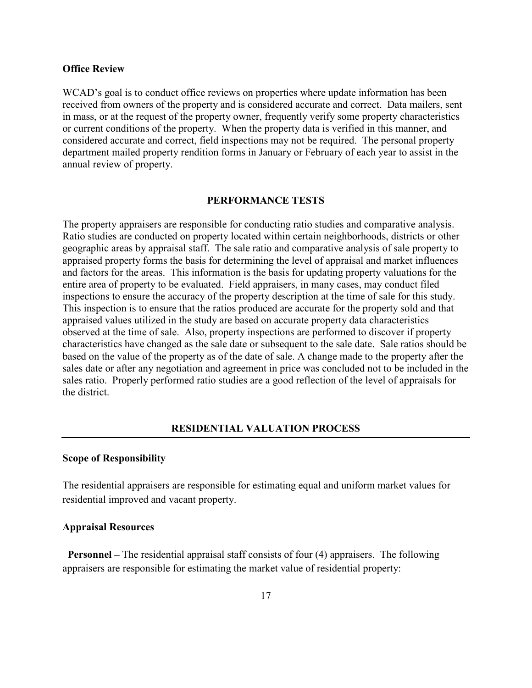#### **Office Review**

WCAD's goal is to conduct office reviews on properties where update information has been received from owners of the property and is considered accurate and correct. Data mailers, sent in mass, or at the request of the property owner, frequently verify some property characteristics or current conditions of the property. When the property data is verified in this manner, and considered accurate and correct, field inspections may not be required. The personal property department mailed property rendition forms in January or February of each year to assist in the annual review of property.

#### **PERFORMANCE TESTS**

The property appraisers are responsible for conducting ratio studies and comparative analysis. Ratio studies are conducted on property located within certain neighborhoods, districts or other geographic areas by appraisal staff. The sale ratio and comparative analysis of sale property to appraised property forms the basis for determining the level of appraisal and market influences and factors for the areas. This information is the basis for updating property valuations for the entire area of property to be evaluated. Field appraisers, in many cases, may conduct filed inspections to ensure the accuracy of the property description at the time of sale for this study. This inspection is to ensure that the ratios produced are accurate for the property sold and that appraised values utilized in the study are based on accurate property data characteristics observed at the time of sale. Also, property inspections are performed to discover if property characteristics have changed as the sale date or subsequent to the sale date. Sale ratios should be based on the value of the property as of the date of sale. A change made to the property after the sales date or after any negotiation and agreement in price was concluded not to be included in the sales ratio. Properly performed ratio studies are a good reflection of the level of appraisals for the district.

#### **RESIDENTIAL VALUATION PROCESS**

#### **Scope of Responsibility**

The residential appraisers are responsible for estimating equal and uniform market values for residential improved and vacant property.

#### **Appraisal Resources**

**Personnel** – The residential appraisal staff consists of four (4) appraisers. The following appraisers are responsible for estimating the market value of residential property: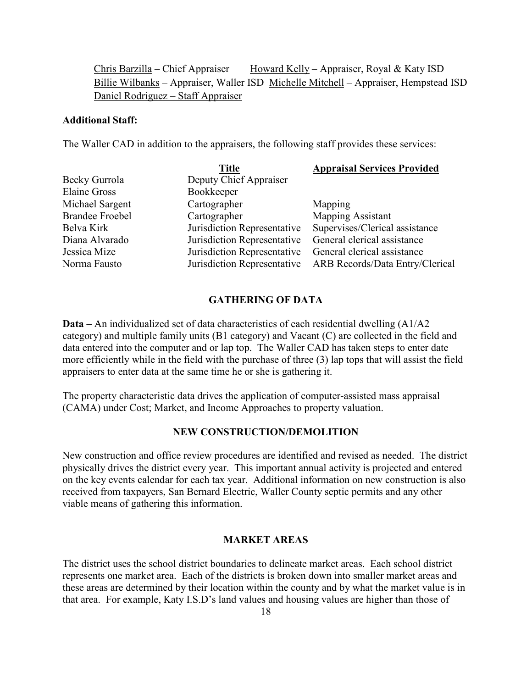Chris Barzilla – Chief Appraiser Howard Kelly – Appraiser, Royal & Katy ISD Billie Wilbanks – Appraiser, Waller ISD Michelle Mitchell – Appraiser, Hempstead ISD Daniel Rodriguez – Staff Appraiser

#### **Additional Staff:**

The Waller CAD in addition to the appraisers, the following staff provides these services:

|                        | <b>Title</b>                | <b>Appraisal Services Provided</b>     |
|------------------------|-----------------------------|----------------------------------------|
| Becky Gurrola          | Deputy Chief Appraiser      |                                        |
| <b>Elaine Gross</b>    | Bookkeeper                  |                                        |
| Michael Sargent        | Cartographer                | Mapping                                |
| <b>Brandee Froebel</b> | Cartographer                | <b>Mapping Assistant</b>               |
| Belva Kirk             | Jurisdiction Representative | Supervises/Clerical assistance         |
| Diana Alvarado         | Jurisdiction Representative | General clerical assistance            |
| Jessica Mize           | Jurisdiction Representative | General clerical assistance            |
| Norma Fausto           | Jurisdiction Representative | <b>ARB Records/Data Entry/Clerical</b> |

#### **GATHERING OF DATA**

**Data –** An individualized set of data characteristics of each residential dwelling (A1/A2 category) and multiple family units (B1 category) and Vacant (C) are collected in the field and data entered into the computer and or lap top. The Waller CAD has taken steps to enter date more efficiently while in the field with the purchase of three (3) lap tops that will assist the field appraisers to enter data at the same time he or she is gathering it.

The property characteristic data drives the application of computer-assisted mass appraisal (CAMA) under Cost; Market, and Income Approaches to property valuation.

#### **NEW CONSTRUCTION/DEMOLITION**

New construction and office review procedures are identified and revised as needed. The district physically drives the district every year. This important annual activity is projected and entered on the key events calendar for each tax year. Additional information on new construction is also received from taxpayers, San Bernard Electric, Waller County septic permits and any other viable means of gathering this information.

#### **MARKET AREAS**

The district uses the school district boundaries to delineate market areas. Each school district represents one market area. Each of the districts is broken down into smaller market areas and these areas are determined by their location within the county and by what the market value is in that area. For example, Katy I.S.D's land values and housing values are higher than those of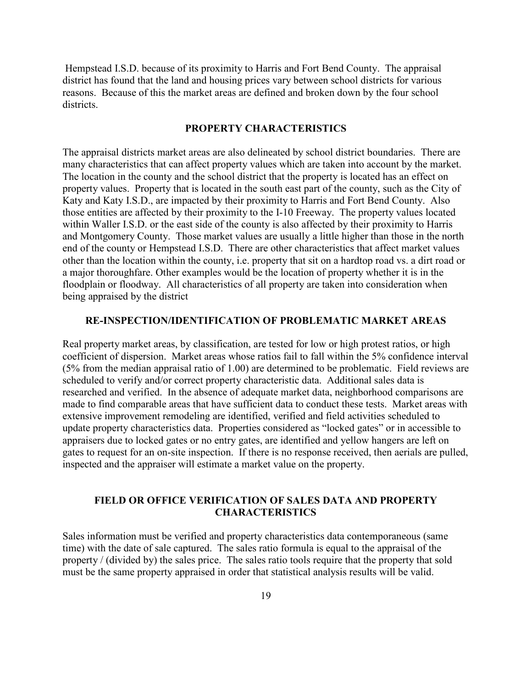Hempstead I.S.D. because of its proximity to Harris and Fort Bend County. The appraisal district has found that the land and housing prices vary between school districts for various reasons. Because of this the market areas are defined and broken down by the four school districts.

#### **PROPERTY CHARACTERISTICS**

The appraisal districts market areas are also delineated by school district boundaries. There are many characteristics that can affect property values which are taken into account by the market. The location in the county and the school district that the property is located has an effect on property values. Property that is located in the south east part of the county, such as the City of Katy and Katy I.S.D., are impacted by their proximity to Harris and Fort Bend County. Also those entities are affected by their proximity to the I-10 Freeway. The property values located within Waller I.S.D. or the east side of the county is also affected by their proximity to Harris and Montgomery County. Those market values are usually a little higher than those in the north end of the county or Hempstead I.S.D. There are other characteristics that affect market values other than the location within the county, i.e. property that sit on a hardtop road vs. a dirt road or a major thoroughfare. Other examples would be the location of property whether it is in the floodplain or floodway. All characteristics of all property are taken into consideration when being appraised by the district

#### **RE-INSPECTION/IDENTIFICATION OF PROBLEMATIC MARKET AREAS**

Real property market areas, by classification, are tested for low or high protest ratios, or high coefficient of dispersion. Market areas whose ratios fail to fall within the 5% confidence interval (5% from the median appraisal ratio of 1.00) are determined to be problematic. Field reviews are scheduled to verify and/or correct property characteristic data. Additional sales data is researched and verified. In the absence of adequate market data, neighborhood comparisons are made to find comparable areas that have sufficient data to conduct these tests. Market areas with extensive improvement remodeling are identified, verified and field activities scheduled to update property characteristics data. Properties considered as "locked gates" or in accessible to appraisers due to locked gates or no entry gates, are identified and yellow hangers are left on gates to request for an on-site inspection. If there is no response received, then aerials are pulled, inspected and the appraiser will estimate a market value on the property.

#### **FIELD OR OFFICE VERIFICATION OF SALES DATA AND PROPERTY CHARACTERISTICS**

Sales information must be verified and property characteristics data contemporaneous (same time) with the date of sale captured. The sales ratio formula is equal to the appraisal of the property / (divided by) the sales price. The sales ratio tools require that the property that sold must be the same property appraised in order that statistical analysis results will be valid.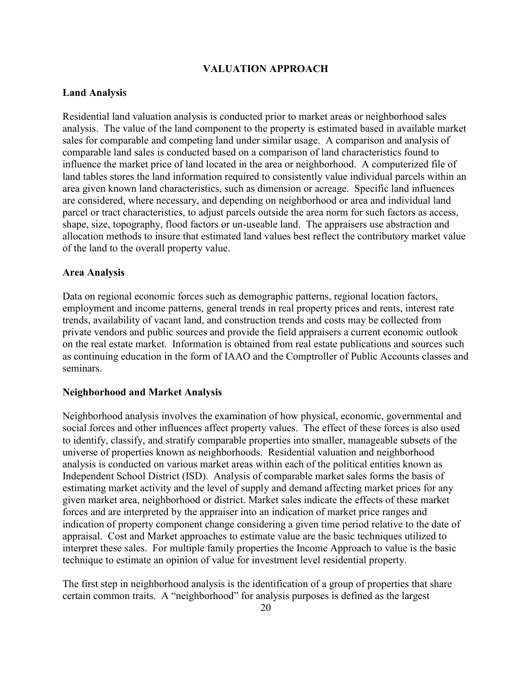#### **VALUATION APPROACH**

#### **Land Analysis**

Residential land valuation analysis is conducted prior to market areas or neighborhood sales analysis. The value of the land component to the property is estimated based in available market sales for comparable and competing land under similar usage. A comparison and analysis of comparable land sales is conducted based on a comparison of land characteristics found to influence the market price of land located in the area or neighborhood. A computerized file of land tables stores the land information required to consistently value individual parcels within an area given known land characteristics, such as dimension or acreage. Specific land influences are considered, where necessary, and depending on neighborhood or area and individual land parcel or tract characteristics, to adjust parcels outside the area norm for such factors as access, shape, size, topography, flood factors or un-useable land. The appraisers use abstraction and allocation methods to insure that estimated land values best reflect the contributory market value of the land to the overall property value.

#### **Area Analysis**

Data on regional economic forces such as demographic patterns, regional location factors, employment and income patterns, general trends in real property prices and rents, interest rate trends, availability of vacant land, and construction trends and costs may be collected from private vendors and public sources and provide the field appraisers a current economic outlook on the real estate market. Information is obtained from real estate publications and sources such as continuing education in the form of IAAO and the Comptroller of Public Accounts classes and seminars.

#### **Neighborhood and Market Analysis**

Neighborhood analysis involves the examination of how physical, economic, governmental and social forces and other influences affect property values. The effect of these forces is also used to identify, classify, and stratify comparable properties into smaller, manageable subsets of the universe of properties known as neighborhoods. Residential valuation and neighborhood analysis is conducted on various market areas within each of the political entities known as Independent School District (ISD). Analysis of comparable market sales forms the basis of estimating market activity and the level of supply and demand affecting market prices for any given market area, neighborhood or district. Market sales indicate the effects of these market forces and are interpreted by the appraiser into an indication of market price ranges and indication of property component change considering a given time period relative to the date of appraisal. Cost and Market approaches to estimate value are the basic techniques utilized to interpret these sales. For multiple family properties the Income Approach to value is the basic technique to estimate an opinion of value for investment level residential property.

The first step in neighborhood analysis is the identification of a group of properties that share certain common traits. A "neighborhood" for analysis purposes is defined as the largest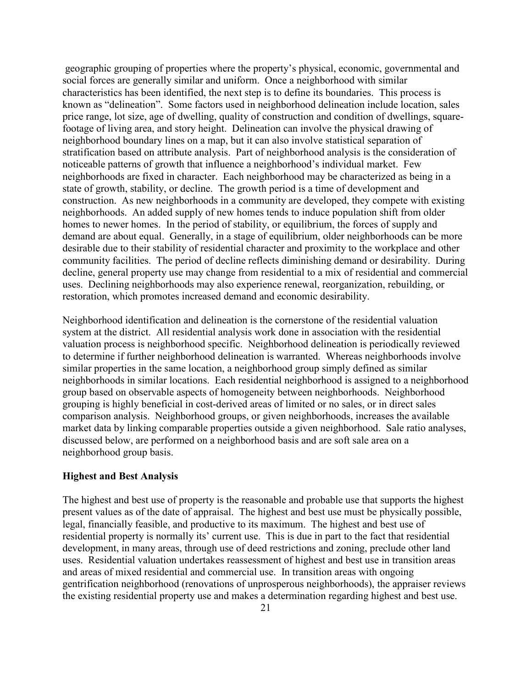geographic grouping of properties where the property's physical, economic, governmental and social forces are generally similar and uniform. Once a neighborhood with similar characteristics has been identified, the next step is to define its boundaries. This process is known as "delineation". Some factors used in neighborhood delineation include location, sales price range, lot size, age of dwelling, quality of construction and condition of dwellings, squarefootage of living area, and story height. Delineation can involve the physical drawing of neighborhood boundary lines on a map, but it can also involve statistical separation of stratification based on attribute analysis. Part of neighborhood analysis is the consideration of noticeable patterns of growth that influence a neighborhood's individual market. Few neighborhoods are fixed in character. Each neighborhood may be characterized as being in a state of growth, stability, or decline. The growth period is a time of development and construction. As new neighborhoods in a community are developed, they compete with existing neighborhoods. An added supply of new homes tends to induce population shift from older homes to newer homes. In the period of stability, or equilibrium, the forces of supply and demand are about equal. Generally, in a stage of equilibrium, older neighborhoods can be more desirable due to their stability of residential character and proximity to the workplace and other community facilities. The period of decline reflects diminishing demand or desirability. During decline, general property use may change from residential to a mix of residential and commercial uses. Declining neighborhoods may also experience renewal, reorganization, rebuilding, or restoration, which promotes increased demand and economic desirability.

Neighborhood identification and delineation is the cornerstone of the residential valuation system at the district. All residential analysis work done in association with the residential valuation process is neighborhood specific. Neighborhood delineation is periodically reviewed to determine if further neighborhood delineation is warranted. Whereas neighborhoods involve similar properties in the same location, a neighborhood group simply defined as similar neighborhoods in similar locations. Each residential neighborhood is assigned to a neighborhood group based on observable aspects of homogeneity between neighborhoods. Neighborhood grouping is highly beneficial in cost-derived areas of limited or no sales, or in direct sales comparison analysis. Neighborhood groups, or given neighborhoods, increases the available market data by linking comparable properties outside a given neighborhood. Sale ratio analyses, discussed below, are performed on a neighborhood basis and are soft sale area on a neighborhood group basis.

#### **Highest and Best Analysis**

The highest and best use of property is the reasonable and probable use that supports the highest present values as of the date of appraisal. The highest and best use must be physically possible, legal, financially feasible, and productive to its maximum. The highest and best use of residential property is normally its' current use. This is due in part to the fact that residential development, in many areas, through use of deed restrictions and zoning, preclude other land uses. Residential valuation undertakes reassessment of highest and best use in transition areas and areas of mixed residential and commercial use. In transition areas with ongoing gentrification neighborhood (renovations of unprosperous neighborhoods), the appraiser reviews the existing residential property use and makes a determination regarding highest and best use.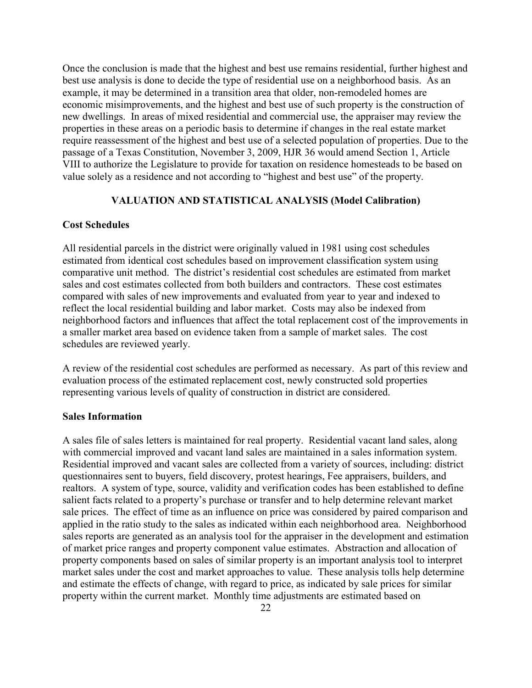Once the conclusion is made that the highest and best use remains residential, further highest and best use analysis is done to decide the type of residential use on a neighborhood basis. As an example, it may be determined in a transition area that older, non-remodeled homes are economic misimprovements, and the highest and best use of such property is the construction of new dwellings. In areas of mixed residential and commercial use, the appraiser may review the properties in these areas on a periodic basis to determine if changes in the real estate market require reassessment of the highest and best use of a selected population of properties. Due to the passage of a Texas Constitution, November 3, 2009, HJR 36 would amend Section 1, Article VIII to authorize the Legislature to provide for taxation on residence homesteads to be based on value solely as a residence and not according to "highest and best use" of the property.

#### **VALUATION AND STATISTICAL ANALYSIS (Model Calibration)**

#### **Cost Schedules**

All residential parcels in the district were originally valued in 1981 using cost schedules estimated from identical cost schedules based on improvement classification system using comparative unit method. The district's residential cost schedules are estimated from market sales and cost estimates collected from both builders and contractors. These cost estimates compared with sales of new improvements and evaluated from year to year and indexed to reflect the local residential building and labor market. Costs may also be indexed from neighborhood factors and influences that affect the total replacement cost of the improvements in a smaller market area based on evidence taken from a sample of market sales. The cost schedules are reviewed yearly.

A review of the residential cost schedules are performed as necessary. As part of this review and evaluation process of the estimated replacement cost, newly constructed sold properties representing various levels of quality of construction in district are considered.

#### **Sales Information**

A sales file of sales letters is maintained for real property. Residential vacant land sales, along with commercial improved and vacant land sales are maintained in a sales information system. Residential improved and vacant sales are collected from a variety of sources, including: district questionnaires sent to buyers, field discovery, protest hearings, Fee appraisers, builders, and realtors. A system of type, source, validity and verification codes has been established to define salient facts related to a property's purchase or transfer and to help determine relevant market sale prices. The effect of time as an influence on price was considered by paired comparison and applied in the ratio study to the sales as indicated within each neighborhood area. Neighborhood sales reports are generated as an analysis tool for the appraiser in the development and estimation of market price ranges and property component value estimates. Abstraction and allocation of property components based on sales of similar property is an important analysis tool to interpret market sales under the cost and market approaches to value. These analysis tolls help determine and estimate the effects of change, with regard to price, as indicated by sale prices for similar property within the current market. Monthly time adjustments are estimated based on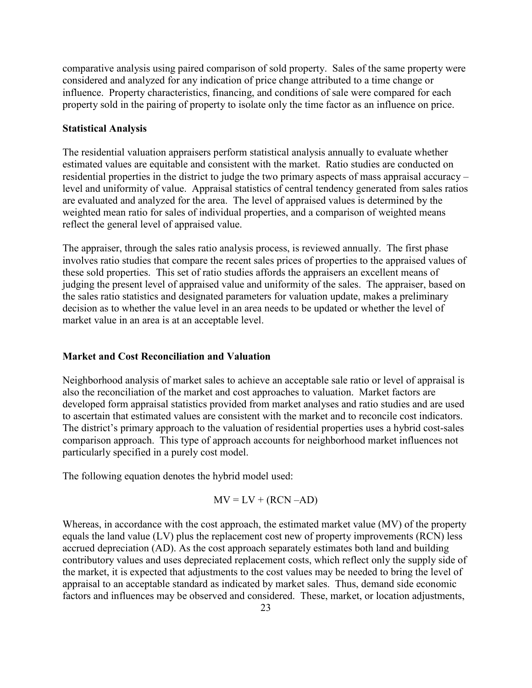comparative analysis using paired comparison of sold property. Sales of the same property were considered and analyzed for any indication of price change attributed to a time change or influence. Property characteristics, financing, and conditions of sale were compared for each property sold in the pairing of property to isolate only the time factor as an influence on price.

#### **Statistical Analysis**

The residential valuation appraisers perform statistical analysis annually to evaluate whether estimated values are equitable and consistent with the market. Ratio studies are conducted on residential properties in the district to judge the two primary aspects of mass appraisal accuracy – level and uniformity of value. Appraisal statistics of central tendency generated from sales ratios are evaluated and analyzed for the area. The level of appraised values is determined by the weighted mean ratio for sales of individual properties, and a comparison of weighted means reflect the general level of appraised value.

The appraiser, through the sales ratio analysis process, is reviewed annually. The first phase involves ratio studies that compare the recent sales prices of properties to the appraised values of these sold properties. This set of ratio studies affords the appraisers an excellent means of judging the present level of appraised value and uniformity of the sales. The appraiser, based on the sales ratio statistics and designated parameters for valuation update, makes a preliminary decision as to whether the value level in an area needs to be updated or whether the level of market value in an area is at an acceptable level.

#### **Market and Cost Reconciliation and Valuation**

Neighborhood analysis of market sales to achieve an acceptable sale ratio or level of appraisal is also the reconciliation of the market and cost approaches to valuation. Market factors are developed form appraisal statistics provided from market analyses and ratio studies and are used to ascertain that estimated values are consistent with the market and to reconcile cost indicators. The district's primary approach to the valuation of residential properties uses a hybrid cost-sales comparison approach. This type of approach accounts for neighborhood market influences not particularly specified in a purely cost model.

The following equation denotes the hybrid model used:

$$
MV = LV + (RCN - AD)
$$

Whereas, in accordance with the cost approach, the estimated market value (MV) of the property equals the land value (LV) plus the replacement cost new of property improvements (RCN) less accrued depreciation (AD). As the cost approach separately estimates both land and building contributory values and uses depreciated replacement costs, which reflect only the supply side of the market, it is expected that adjustments to the cost values may be needed to bring the level of appraisal to an acceptable standard as indicated by market sales. Thus, demand side economic factors and influences may be observed and considered. These, market, or location adjustments,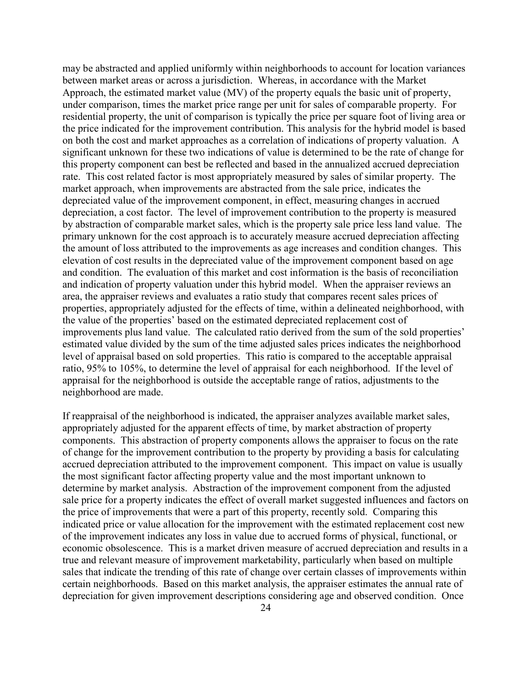may be abstracted and applied uniformly within neighborhoods to account for location variances between market areas or across a jurisdiction. Whereas, in accordance with the Market Approach, the estimated market value (MV) of the property equals the basic unit of property, under comparison, times the market price range per unit for sales of comparable property. For residential property, the unit of comparison is typically the price per square foot of living area or the price indicated for the improvement contribution. This analysis for the hybrid model is based on both the cost and market approaches as a correlation of indications of property valuation. A significant unknown for these two indications of value is determined to be the rate of change for this property component can best be reflected and based in the annualized accrued depreciation rate. This cost related factor is most appropriately measured by sales of similar property. The market approach, when improvements are abstracted from the sale price, indicates the depreciated value of the improvement component, in effect, measuring changes in accrued depreciation, a cost factor. The level of improvement contribution to the property is measured by abstraction of comparable market sales, which is the property sale price less land value. The primary unknown for the cost approach is to accurately measure accrued depreciation affecting the amount of loss attributed to the improvements as age increases and condition changes. This elevation of cost results in the depreciated value of the improvement component based on age and condition. The evaluation of this market and cost information is the basis of reconciliation and indication of property valuation under this hybrid model. When the appraiser reviews an area, the appraiser reviews and evaluates a ratio study that compares recent sales prices of properties, appropriately adjusted for the effects of time, within a delineated neighborhood, with the value of the properties' based on the estimated depreciated replacement cost of improvements plus land value. The calculated ratio derived from the sum of the sold properties' estimated value divided by the sum of the time adjusted sales prices indicates the neighborhood level of appraisal based on sold properties. This ratio is compared to the acceptable appraisal ratio, 95% to 105%, to determine the level of appraisal for each neighborhood. If the level of appraisal for the neighborhood is outside the acceptable range of ratios, adjustments to the neighborhood are made.

If reappraisal of the neighborhood is indicated, the appraiser analyzes available market sales, appropriately adjusted for the apparent effects of time, by market abstraction of property components. This abstraction of property components allows the appraiser to focus on the rate of change for the improvement contribution to the property by providing a basis for calculating accrued depreciation attributed to the improvement component. This impact on value is usually the most significant factor affecting property value and the most important unknown to determine by market analysis. Abstraction of the improvement component from the adjusted sale price for a property indicates the effect of overall market suggested influences and factors on the price of improvements that were a part of this property, recently sold. Comparing this indicated price or value allocation for the improvement with the estimated replacement cost new of the improvement indicates any loss in value due to accrued forms of physical, functional, or economic obsolescence. This is a market driven measure of accrued depreciation and results in a true and relevant measure of improvement marketability, particularly when based on multiple sales that indicate the trending of this rate of change over certain classes of improvements within certain neighborhoods. Based on this market analysis, the appraiser estimates the annual rate of depreciation for given improvement descriptions considering age and observed condition. Once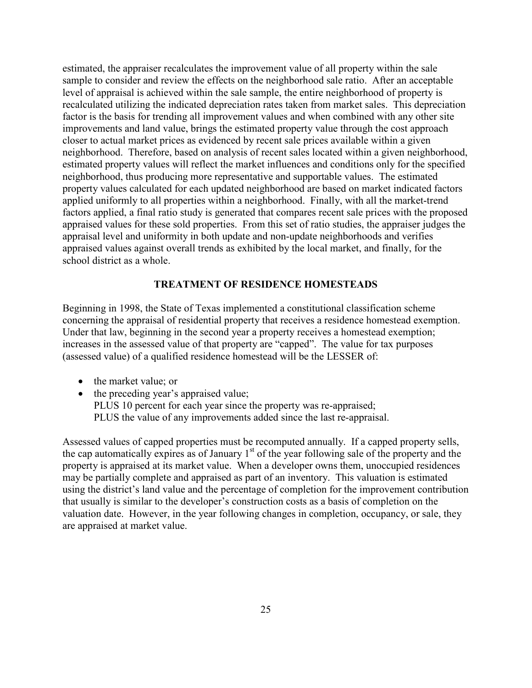estimated, the appraiser recalculates the improvement value of all property within the sale sample to consider and review the effects on the neighborhood sale ratio. After an acceptable level of appraisal is achieved within the sale sample, the entire neighborhood of property is recalculated utilizing the indicated depreciation rates taken from market sales. This depreciation factor is the basis for trending all improvement values and when combined with any other site improvements and land value, brings the estimated property value through the cost approach closer to actual market prices as evidenced by recent sale prices available within a given neighborhood. Therefore, based on analysis of recent sales located within a given neighborhood, estimated property values will reflect the market influences and conditions only for the specified neighborhood, thus producing more representative and supportable values. The estimated property values calculated for each updated neighborhood are based on market indicated factors applied uniformly to all properties within a neighborhood. Finally, with all the market-trend factors applied, a final ratio study is generated that compares recent sale prices with the proposed appraised values for these sold properties. From this set of ratio studies, the appraiser judges the appraisal level and uniformity in both update and non-update neighborhoods and verifies appraised values against overall trends as exhibited by the local market, and finally, for the school district as a whole.

#### **TREATMENT OF RESIDENCE HOMESTEADS**

Beginning in 1998, the State of Texas implemented a constitutional classification scheme concerning the appraisal of residential property that receives a residence homestead exemption. Under that law, beginning in the second year a property receives a homestead exemption; increases in the assessed value of that property are "capped". The value for tax purposes (assessed value) of a qualified residence homestead will be the LESSER of:

- the market value; or
- the preceding year's appraised value; PLUS 10 percent for each year since the property was re-appraised; PLUS the value of any improvements added since the last re-appraisal.

Assessed values of capped properties must be recomputed annually. If a capped property sells, the cap automatically expires as of January  $1<sup>st</sup>$  of the year following sale of the property and the property is appraised at its market value. When a developer owns them, unoccupied residences may be partially complete and appraised as part of an inventory. This valuation is estimated using the district's land value and the percentage of completion for the improvement contribution that usually is similar to the developer's construction costs as a basis of completion on the valuation date. However, in the year following changes in completion, occupancy, or sale, they are appraised at market value.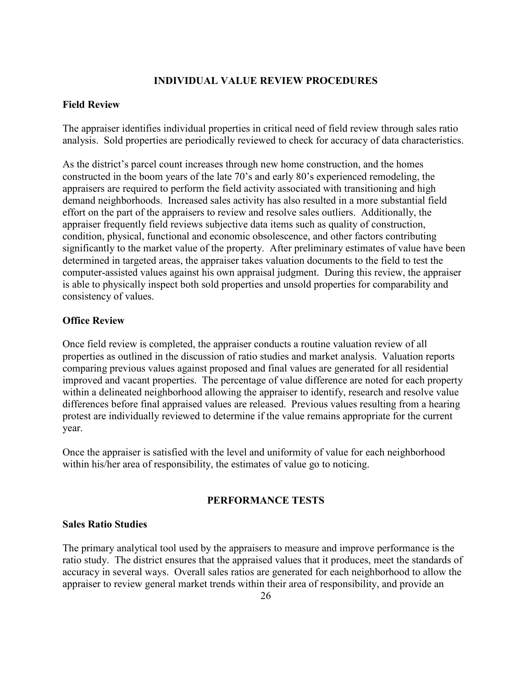#### **INDIVIDUAL VALUE REVIEW PROCEDURES**

#### **Field Review**

The appraiser identifies individual properties in critical need of field review through sales ratio analysis. Sold properties are periodically reviewed to check for accuracy of data characteristics.

As the district's parcel count increases through new home construction, and the homes constructed in the boom years of the late 70's and early 80's experienced remodeling, the appraisers are required to perform the field activity associated with transitioning and high demand neighborhoods. Increased sales activity has also resulted in a more substantial field effort on the part of the appraisers to review and resolve sales outliers. Additionally, the appraiser frequently field reviews subjective data items such as quality of construction, condition, physical, functional and economic obsolescence, and other factors contributing significantly to the market value of the property. After preliminary estimates of value have been determined in targeted areas, the appraiser takes valuation documents to the field to test the computer-assisted values against his own appraisal judgment. During this review, the appraiser is able to physically inspect both sold properties and unsold properties for comparability and consistency of values.

#### **Office Review**

Once field review is completed, the appraiser conducts a routine valuation review of all properties as outlined in the discussion of ratio studies and market analysis. Valuation reports comparing previous values against proposed and final values are generated for all residential improved and vacant properties. The percentage of value difference are noted for each property within a delineated neighborhood allowing the appraiser to identify, research and resolve value differences before final appraised values are released. Previous values resulting from a hearing protest are individually reviewed to determine if the value remains appropriate for the current year.

Once the appraiser is satisfied with the level and uniformity of value for each neighborhood within his/her area of responsibility, the estimates of value go to noticing.

#### **PERFORMANCE TESTS**

#### **Sales Ratio Studies**

The primary analytical tool used by the appraisers to measure and improve performance is the ratio study. The district ensures that the appraised values that it produces, meet the standards of accuracy in several ways. Overall sales ratios are generated for each neighborhood to allow the appraiser to review general market trends within their area of responsibility, and provide an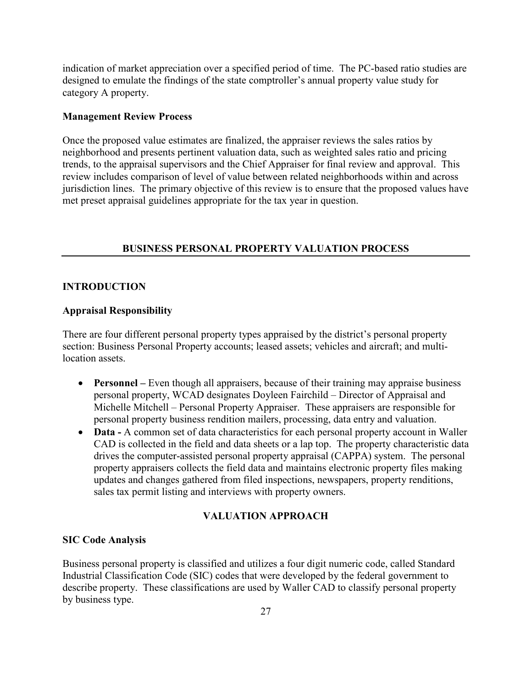indication of market appreciation over a specified period of time. The PC-based ratio studies are designed to emulate the findings of the state comptroller's annual property value study for category A property.

#### **Management Review Process**

Once the proposed value estimates are finalized, the appraiser reviews the sales ratios by neighborhood and presents pertinent valuation data, such as weighted sales ratio and pricing trends, to the appraisal supervisors and the Chief Appraiser for final review and approval. This review includes comparison of level of value between related neighborhoods within and across jurisdiction lines. The primary objective of this review is to ensure that the proposed values have met preset appraisal guidelines appropriate for the tax year in question.

#### **BUSINESS PERSONAL PROPERTY VALUATION PROCESS**

#### **INTRODUCTION**

#### **Appraisal Responsibility**

There are four different personal property types appraised by the district's personal property section: Business Personal Property accounts; leased assets; vehicles and aircraft; and multilocation assets.

- **Personnel** Even though all appraisers, because of their training may appraise business personal property, WCAD designates Doyleen Fairchild – Director of Appraisal and Michelle Mitchell – Personal Property Appraiser. These appraisers are responsible for personal property business rendition mailers, processing, data entry and valuation.
- **Data -** A common set of data characteristics for each personal property account in Waller CAD is collected in the field and data sheets or a lap top. The property characteristic data drives the computer-assisted personal property appraisal (CAPPA) system. The personal property appraisers collects the field data and maintains electronic property files making updates and changes gathered from filed inspections, newspapers, property renditions, sales tax permit listing and interviews with property owners.

#### **VALUATION APPROACH**

#### **SIC Code Analysis**

Business personal property is classified and utilizes a four digit numeric code, called Standard Industrial Classification Code (SIC) codes that were developed by the federal government to describe property. These classifications are used by Waller CAD to classify personal property by business type.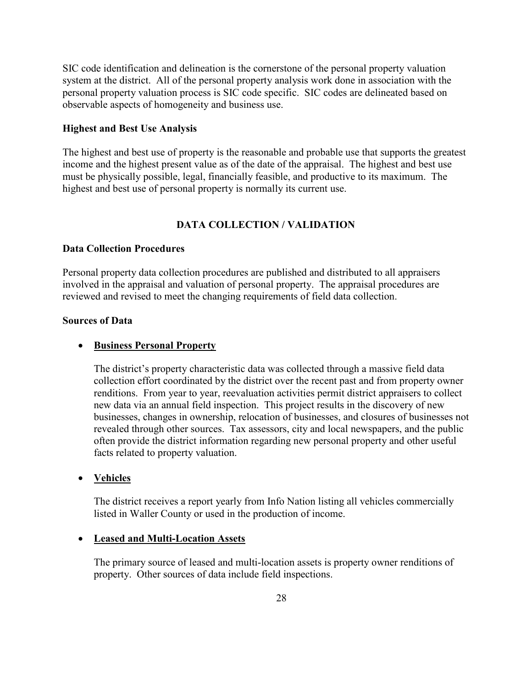SIC code identification and delineation is the cornerstone of the personal property valuation system at the district. All of the personal property analysis work done in association with the personal property valuation process is SIC code specific. SIC codes are delineated based on observable aspects of homogeneity and business use.

#### **Highest and Best Use Analysis**

The highest and best use of property is the reasonable and probable use that supports the greatest income and the highest present value as of the date of the appraisal. The highest and best use must be physically possible, legal, financially feasible, and productive to its maximum. The highest and best use of personal property is normally its current use.

#### **DATA COLLECTION / VALIDATION**

#### **Data Collection Procedures**

Personal property data collection procedures are published and distributed to all appraisers involved in the appraisal and valuation of personal property. The appraisal procedures are reviewed and revised to meet the changing requirements of field data collection.

#### **Sources of Data**

#### • **Business Personal Property**

The district's property characteristic data was collected through a massive field data collection effort coordinated by the district over the recent past and from property owner renditions. From year to year, reevaluation activities permit district appraisers to collect new data via an annual field inspection. This project results in the discovery of new businesses, changes in ownership, relocation of businesses, and closures of businesses not revealed through other sources. Tax assessors, city and local newspapers, and the public often provide the district information regarding new personal property and other useful facts related to property valuation.

#### • **Vehicles**

The district receives a report yearly from Info Nation listing all vehicles commercially listed in Waller County or used in the production of income.

#### • **Leased and Multi-Location Assets**

The primary source of leased and multi-location assets is property owner renditions of property. Other sources of data include field inspections.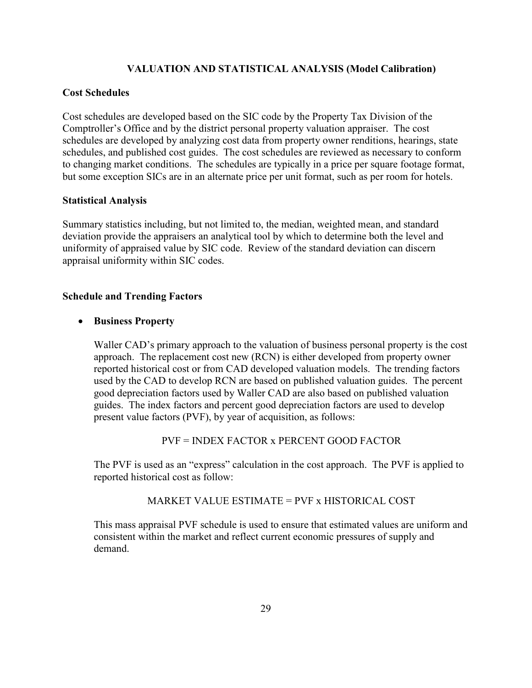#### **VALUATION AND STATISTICAL ANALYSIS (Model Calibration)**

#### **Cost Schedules**

Cost schedules are developed based on the SIC code by the Property Tax Division of the Comptroller's Office and by the district personal property valuation appraiser. The cost schedules are developed by analyzing cost data from property owner renditions, hearings, state schedules, and published cost guides. The cost schedules are reviewed as necessary to conform to changing market conditions. The schedules are typically in a price per square footage format, but some exception SICs are in an alternate price per unit format, such as per room for hotels.

#### **Statistical Analysis**

Summary statistics including, but not limited to, the median, weighted mean, and standard deviation provide the appraisers an analytical tool by which to determine both the level and uniformity of appraised value by SIC code. Review of the standard deviation can discern appraisal uniformity within SIC codes.

#### **Schedule and Trending Factors**

#### • **Business Property**

Waller CAD's primary approach to the valuation of business personal property is the cost approach. The replacement cost new (RCN) is either developed from property owner reported historical cost or from CAD developed valuation models. The trending factors used by the CAD to develop RCN are based on published valuation guides. The percent good depreciation factors used by Waller CAD are also based on published valuation guides. The index factors and percent good depreciation factors are used to develop present value factors (PVF), by year of acquisition, as follows:

PVF = INDEX FACTOR x PERCENT GOOD FACTOR

The PVF is used as an "express" calculation in the cost approach. The PVF is applied to reported historical cost as follow:

#### MARKET VALUE ESTIMATE = PVF x HISTORICAL COST

This mass appraisal PVF schedule is used to ensure that estimated values are uniform and consistent within the market and reflect current economic pressures of supply and demand.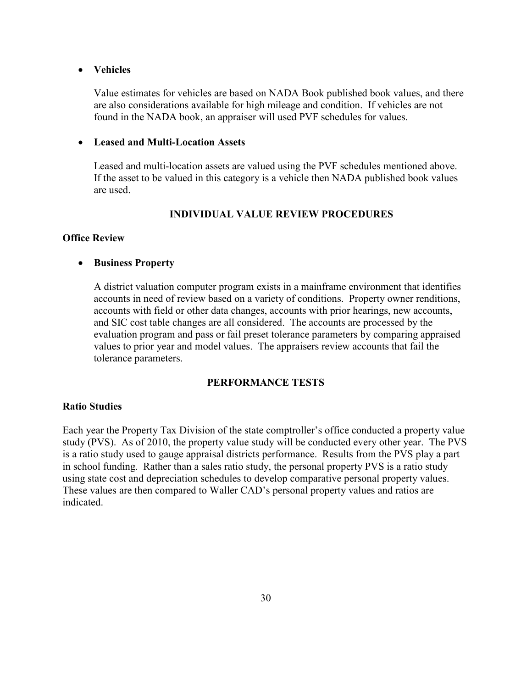#### • **Vehicles**

Value estimates for vehicles are based on NADA Book published book values, and there are also considerations available for high mileage and condition. If vehicles are not found in the NADA book, an appraiser will used PVF schedules for values.

#### • **Leased and Multi-Location Assets**

Leased and multi-location assets are valued using the PVF schedules mentioned above. If the asset to be valued in this category is a vehicle then NADA published book values are used.

#### **INDIVIDUAL VALUE REVIEW PROCEDURES**

#### **Office Review**

#### • **Business Property**

A district valuation computer program exists in a mainframe environment that identifies accounts in need of review based on a variety of conditions. Property owner renditions, accounts with field or other data changes, accounts with prior hearings, new accounts, and SIC cost table changes are all considered. The accounts are processed by the evaluation program and pass or fail preset tolerance parameters by comparing appraised values to prior year and model values. The appraisers review accounts that fail the tolerance parameters.

#### **PERFORMANCE TESTS**

#### **Ratio Studies**

Each year the Property Tax Division of the state comptroller's office conducted a property value study (PVS). As of 2010, the property value study will be conducted every other year. The PVS is a ratio study used to gauge appraisal districts performance. Results from the PVS play a part in school funding. Rather than a sales ratio study, the personal property PVS is a ratio study using state cost and depreciation schedules to develop comparative personal property values. These values are then compared to Waller CAD's personal property values and ratios are indicated.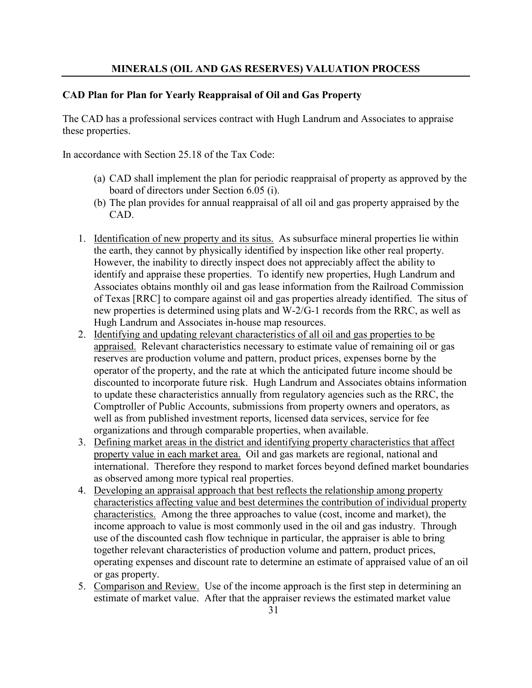#### **MINERALS (OIL AND GAS RESERVES) VALUATION PROCESS**

#### **CAD Plan for Plan for Yearly Reappraisal of Oil and Gas Property**

The CAD has a professional services contract with Hugh Landrum and Associates to appraise these properties.

In accordance with Section 25.18 of the Tax Code:

- (a) CAD shall implement the plan for periodic reappraisal of property as approved by the board of directors under Section 6.05 (i).
- (b) The plan provides for annual reappraisal of all oil and gas property appraised by the CAD.
- 1. Identification of new property and its situs. As subsurface mineral properties lie within the earth, they cannot by physically identified by inspection like other real property. However, the inability to directly inspect does not appreciably affect the ability to identify and appraise these properties. To identify new properties, Hugh Landrum and Associates obtains monthly oil and gas lease information from the Railroad Commission of Texas [RRC] to compare against oil and gas properties already identified. The situs of new properties is determined using plats and W-2/G-1 records from the RRC, as well as Hugh Landrum and Associates in-house map resources.
- 2. Identifying and updating relevant characteristics of all oil and gas properties to be appraised. Relevant characteristics necessary to estimate value of remaining oil or gas reserves are production volume and pattern, product prices, expenses borne by the operator of the property, and the rate at which the anticipated future income should be discounted to incorporate future risk. Hugh Landrum and Associates obtains information to update these characteristics annually from regulatory agencies such as the RRC, the Comptroller of Public Accounts, submissions from property owners and operators, as well as from published investment reports, licensed data services, service for fee organizations and through comparable properties, when available.
- 3. Defining market areas in the district and identifying property characteristics that affect property value in each market area. Oil and gas markets are regional, national and international. Therefore they respond to market forces beyond defined market boundaries as observed among more typical real properties.
- 4. Developing an appraisal approach that best reflects the relationship among property characteristics affecting value and best determines the contribution of individual property characteristics. Among the three approaches to value (cost, income and market), the income approach to value is most commonly used in the oil and gas industry. Through use of the discounted cash flow technique in particular, the appraiser is able to bring together relevant characteristics of production volume and pattern, product prices, operating expenses and discount rate to determine an estimate of appraised value of an oil or gas property.
- 5. Comparison and Review. Use of the income approach is the first step in determining an estimate of market value. After that the appraiser reviews the estimated market value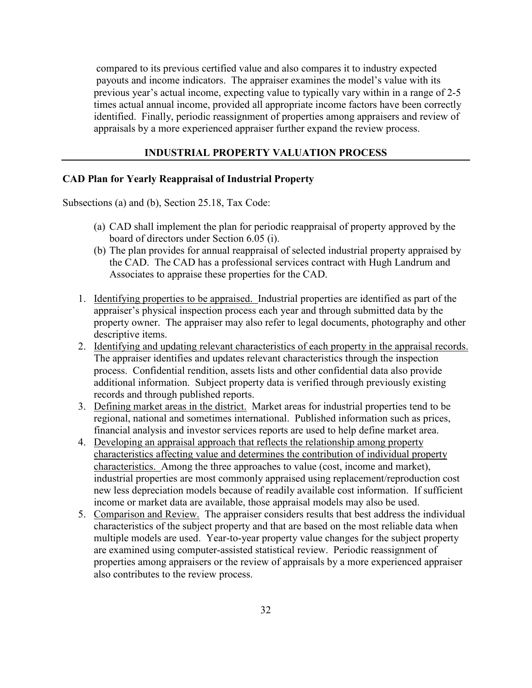compared to its previous certified value and also compares it to industry expected payouts and income indicators. The appraiser examines the model's value with its previous year's actual income, expecting value to typically vary within in a range of 2-5 times actual annual income, provided all appropriate income factors have been correctly identified. Finally, periodic reassignment of properties among appraisers and review of appraisals by a more experienced appraiser further expand the review process.

#### **INDUSTRIAL PROPERTY VALUATION PROCESS**

#### **CAD Plan for Yearly Reappraisal of Industrial Property**

Subsections (a) and (b), Section 25.18, Tax Code:

- (a) CAD shall implement the plan for periodic reappraisal of property approved by the board of directors under Section 6.05 (i).
- (b) The plan provides for annual reappraisal of selected industrial property appraised by the CAD. The CAD has a professional services contract with Hugh Landrum and Associates to appraise these properties for the CAD.
- 1. Identifying properties to be appraised. Industrial properties are identified as part of the appraiser's physical inspection process each year and through submitted data by the property owner. The appraiser may also refer to legal documents, photography and other descriptive items.
- 2. Identifying and updating relevant characteristics of each property in the appraisal records. The appraiser identifies and updates relevant characteristics through the inspection process. Confidential rendition, assets lists and other confidential data also provide additional information. Subject property data is verified through previously existing records and through published reports.
- 3. Defining market areas in the district. Market areas for industrial properties tend to be regional, national and sometimes international. Published information such as prices, financial analysis and investor services reports are used to help define market area.
- 4. Developing an appraisal approach that reflects the relationship among property characteristics affecting value and determines the contribution of individual property characteristics. Among the three approaches to value (cost, income and market), industrial properties are most commonly appraised using replacement/reproduction cost new less depreciation models because of readily available cost information. If sufficient income or market data are available, those appraisal models may also be used.
- 5. Comparison and Review. The appraiser considers results that best address the individual characteristics of the subject property and that are based on the most reliable data when multiple models are used. Year-to-year property value changes for the subject property are examined using computer-assisted statistical review. Periodic reassignment of properties among appraisers or the review of appraisals by a more experienced appraiser also contributes to the review process.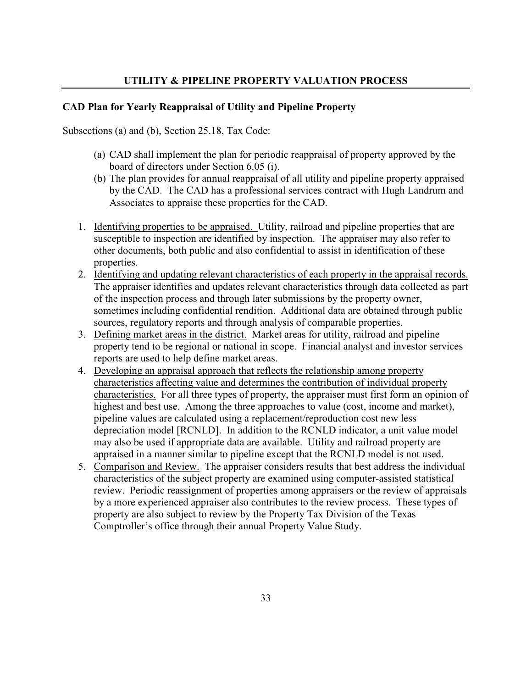#### **CAD Plan for Yearly Reappraisal of Utility and Pipeline Property**

Subsections (a) and (b), Section 25.18, Tax Code:

- (a) CAD shall implement the plan for periodic reappraisal of property approved by the board of directors under Section 6.05 (i).
- (b) The plan provides for annual reappraisal of all utility and pipeline property appraised by the CAD. The CAD has a professional services contract with Hugh Landrum and Associates to appraise these properties for the CAD.
- 1. Identifying properties to be appraised. Utility, railroad and pipeline properties that are susceptible to inspection are identified by inspection. The appraiser may also refer to other documents, both public and also confidential to assist in identification of these properties.
- 2. Identifying and updating relevant characteristics of each property in the appraisal records. The appraiser identifies and updates relevant characteristics through data collected as part of the inspection process and through later submissions by the property owner, sometimes including confidential rendition. Additional data are obtained through public sources, regulatory reports and through analysis of comparable properties.
- 3. Defining market areas in the district. Market areas for utility, railroad and pipeline property tend to be regional or national in scope. Financial analyst and investor services reports are used to help define market areas.
- 4. Developing an appraisal approach that reflects the relationship among property characteristics affecting value and determines the contribution of individual property characteristics. For all three types of property, the appraiser must first form an opinion of highest and best use. Among the three approaches to value (cost, income and market), pipeline values are calculated using a replacement/reproduction cost new less depreciation model [RCNLD]. In addition to the RCNLD indicator, a unit value model may also be used if appropriate data are available. Utility and railroad property are appraised in a manner similar to pipeline except that the RCNLD model is not used.
- 5. Comparison and Review. The appraiser considers results that best address the individual characteristics of the subject property are examined using computer-assisted statistical review. Periodic reassignment of properties among appraisers or the review of appraisals by a more experienced appraiser also contributes to the review process. These types of property are also subject to review by the Property Tax Division of the Texas Comptroller's office through their annual Property Value Study.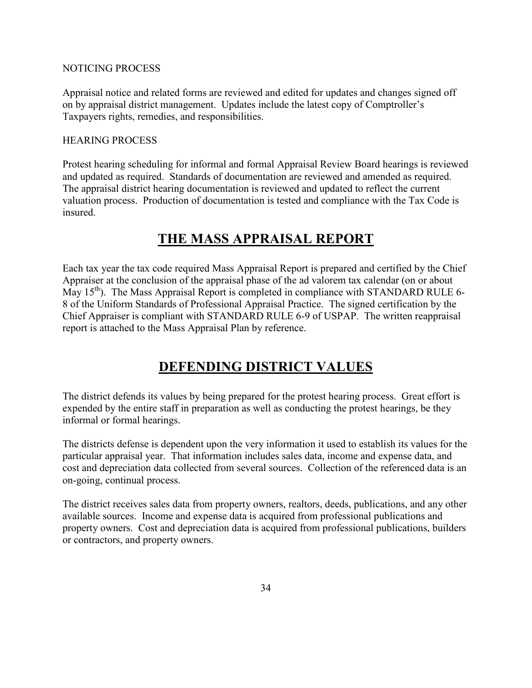#### NOTICING PROCESS

Appraisal notice and related forms are reviewed and edited for updates and changes signed off on by appraisal district management. Updates include the latest copy of Comptroller's Taxpayers rights, remedies, and responsibilities.

#### HEARING PROCESS

Protest hearing scheduling for informal and formal Appraisal Review Board hearings is reviewed and updated as required. Standards of documentation are reviewed and amended as required. The appraisal district hearing documentation is reviewed and updated to reflect the current valuation process. Production of documentation is tested and compliance with the Tax Code is insured.

## **THE MASS APPRAISAL REPORT**

Each tax year the tax code required Mass Appraisal Report is prepared and certified by the Chief Appraiser at the conclusion of the appraisal phase of the ad valorem tax calendar (on or about May  $15<sup>th</sup>$ ). The Mass Appraisal Report is completed in compliance with STANDARD RULE 6-8 of the Uniform Standards of Professional Appraisal Practice. The signed certification by the Chief Appraiser is compliant with STANDARD RULE 6-9 of USPAP. The written reappraisal report is attached to the Mass Appraisal Plan by reference.

## **DEFENDING DISTRICT VALUES**

The district defends its values by being prepared for the protest hearing process. Great effort is expended by the entire staff in preparation as well as conducting the protest hearings, be they informal or formal hearings.

The districts defense is dependent upon the very information it used to establish its values for the particular appraisal year. That information includes sales data, income and expense data, and cost and depreciation data collected from several sources. Collection of the referenced data is an on-going, continual process.

The district receives sales data from property owners, realtors, deeds, publications, and any other available sources. Income and expense data is acquired from professional publications and property owners. Cost and depreciation data is acquired from professional publications, builders or contractors, and property owners.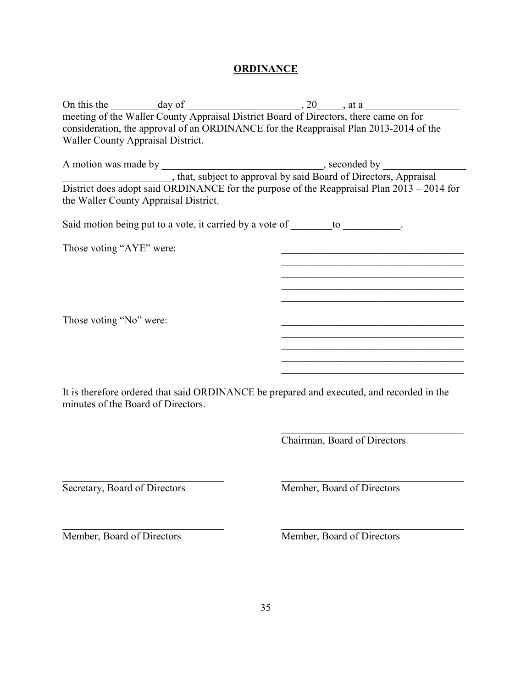### **ORDINANCE**

| On this the day of day of the Waller County Appraisal District Board of Directors, there came on for the Waller County Appraisal District Board of Directors, there came on for |                                                                                                                        |
|---------------------------------------------------------------------------------------------------------------------------------------------------------------------------------|------------------------------------------------------------------------------------------------------------------------|
| consideration, the approval of an ORDINANCE for the Reappraisal Plan 2013-2014 of the                                                                                           |                                                                                                                        |
| Waller County Appraisal District.                                                                                                                                               |                                                                                                                        |
|                                                                                                                                                                                 |                                                                                                                        |
| A motion was made by ______________, that, subject to approval by said Board of Directors, Appraisal                                                                            |                                                                                                                        |
|                                                                                                                                                                                 |                                                                                                                        |
|                                                                                                                                                                                 | District does adopt said ORDINANCE for the purpose of the Reappraisal Plan 2013 – 2014 for                             |
| the Waller County Appraisal District.                                                                                                                                           |                                                                                                                        |
| Said motion being put to a vote, it carried by a vote of ________ to ___________.                                                                                               |                                                                                                                        |
| Those voting "AYE" were:                                                                                                                                                        |                                                                                                                        |
|                                                                                                                                                                                 | <u> 1989 - Johann John Stoff, deutscher Stoffen und der Stoffen und der Stoffen und der Stoffen und der Stoffen u</u>  |
|                                                                                                                                                                                 | <u> 1989 - Johann John Stone, market fan it ferskearre fan it ferskearre fan it ferskearre fan it ferskearre fan i</u> |
|                                                                                                                                                                                 | <u> 1990 - Johann John Stone, mars eta bainar eta industrial eta erromana eta erromana eta erromana eta erromana</u>   |
|                                                                                                                                                                                 |                                                                                                                        |
|                                                                                                                                                                                 |                                                                                                                        |
| Those voting "No" were:                                                                                                                                                         |                                                                                                                        |
|                                                                                                                                                                                 |                                                                                                                        |
|                                                                                                                                                                                 | <u> 1989 - Johann John Stoff, deutscher Stoffen und der Stoffen und der Stoffen und der Stoffen und der Stoffen un</u> |
|                                                                                                                                                                                 | <u> 1980 - Johann John Stein, markin fizik eta idazlear (</u>                                                          |
|                                                                                                                                                                                 |                                                                                                                        |
| It is therefore ordered that said ORDINANCE be prepared and executed, and recorded in the<br>minutes of the Board of Directors.                                                 |                                                                                                                        |
|                                                                                                                                                                                 |                                                                                                                        |
|                                                                                                                                                                                 | Chairman, Board of Directors                                                                                           |
|                                                                                                                                                                                 |                                                                                                                        |
|                                                                                                                                                                                 |                                                                                                                        |
| Secretary, Board of Directors                                                                                                                                                   | Member, Board of Directors                                                                                             |
|                                                                                                                                                                                 |                                                                                                                        |
|                                                                                                                                                                                 |                                                                                                                        |
| Member, Board of Directors                                                                                                                                                      | Member, Board of Directors                                                                                             |
|                                                                                                                                                                                 |                                                                                                                        |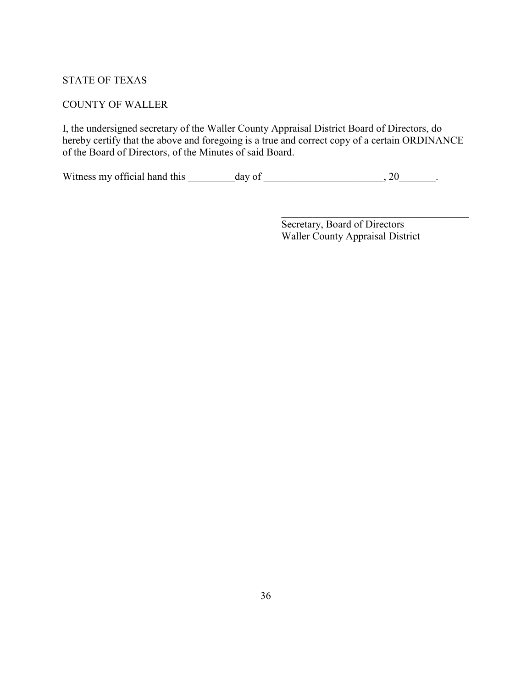#### STATE OF TEXAS

#### COUNTY OF WALLER

I, the undersigned secretary of the Waller County Appraisal District Board of Directors, do hereby certify that the above and foregoing is a true and correct copy of a certain ORDINANCE of the Board of Directors, of the Minutes of said Board.

 $\mathcal{L}_\mathcal{L}$  , which is a set of the set of the set of the set of the set of the set of the set of the set of the set of the set of the set of the set of the set of the set of the set of the set of the set of the set of

Witness my official hand this \_\_\_\_\_\_\_\_\_day of \_\_\_\_\_\_\_\_\_\_\_\_\_\_\_\_\_\_\_\_\_, 20\_\_\_\_\_\_\_.

 Secretary, Board of Directors Waller County Appraisal District